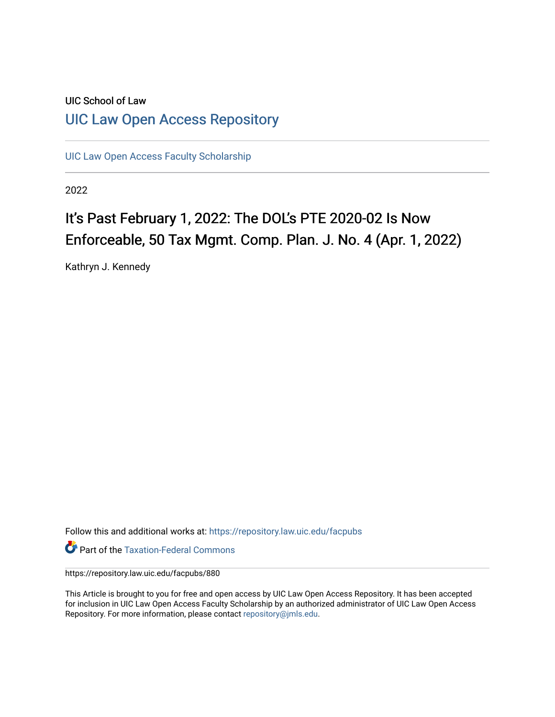# UIC School of Law [UIC Law Open Access Repository](https://repository.law.uic.edu/)

[UIC Law Open Access Faculty Scholarship](https://repository.law.uic.edu/facpubs)

2022

# It's Past February 1, 2022: The DOL's PTE 2020-02 Is Now Enforceable, 50 Tax Mgmt. Comp. Plan. J. No. 4 (Apr. 1, 2022)

Kathryn J. Kennedy

Follow this and additional works at: [https://repository.law.uic.edu/facpubs](https://repository.law.uic.edu/facpubs?utm_source=repository.law.uic.edu%2Ffacpubs%2F880&utm_medium=PDF&utm_campaign=PDFCoverPages) 

**Part of the [Taxation-Federal Commons](https://network.bepress.com/hgg/discipline/881?utm_source=repository.law.uic.edu%2Ffacpubs%2F880&utm_medium=PDF&utm_campaign=PDFCoverPages)** 

https://repository.law.uic.edu/facpubs/880

This Article is brought to you for free and open access by UIC Law Open Access Repository. It has been accepted for inclusion in UIC Law Open Access Faculty Scholarship by an authorized administrator of UIC Law Open Access Repository. For more information, please contact [repository@jmls.edu.](mailto:repository@jmls.edu)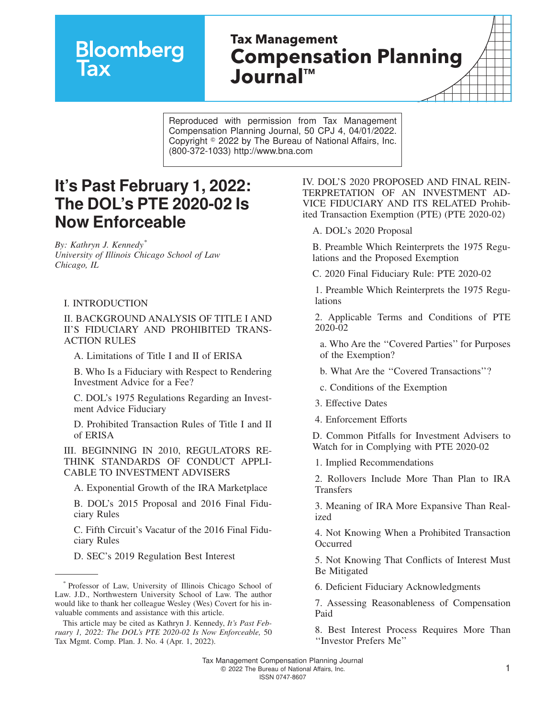# **Bloomberg**

# **Tax Management Compensation Planning Journal™**

Reproduced with permission from Tax Management Compensation Planning Journal, 50 CPJ 4, 04/01/2022. Copyright  $\degree$  2022 by The Bureau of National Affairs, Inc. (800-372-1033) http://www.bna.com

# **It's Past February 1, 2022: The DOL's PTE 2020-02 Is Now Enforceable**

*By: Kathryn J. Kennedy\* University of Illinois Chicago School of Law Chicago, IL*

#### I. INTRODUCTION

II. BACKGROUND ANALYSIS OF TITLE I AND II'S FIDUCIARY AND PROHIBITED TRANS-ACTION RULES

A. Limitations of Title I and II of ERISA

B. Who Is a Fiduciary with Respect to Rendering Investment Advice for a Fee?

C. DOL's 1975 Regulations Regarding an Investment Advice Fiduciary

D. Prohibited Transaction Rules of Title I and II of ERISA

III. BEGINNING IN 2010, REGULATORS RE-THINK STANDARDS OF CONDUCT APPLI-CABLE TO INVESTMENT ADVISERS

A. Exponential Growth of the IRA Marketplace

B. DOL's 2015 Proposal and 2016 Final Fiduciary Rules

C. Fifth Circuit's Vacatur of the 2016 Final Fiduciary Rules

D. SEC's 2019 Regulation Best Interest

IV. DOL'S 2020 PROPOSED AND FINAL REIN-TERPRETATION OF AN INVESTMENT AD-VICE FIDUCIARY AND ITS RELATED Prohibited Transaction Exemption (PTE) (PTE 2020-02)

A. DOL's 2020 Proposal

B. Preamble Which Reinterprets the 1975 Regulations and the Proposed Exemption

C. 2020 Final Fiduciary Rule: PTE 2020-02

1. Preamble Which Reinterprets the 1975 Regulations

2. Applicable Terms and Conditions of PTE 2020-02

a. Who Are the ''Covered Parties'' for Purposes of the Exemption?

b. What Are the ''Covered Transactions''?

- c. Conditions of the Exemption
- 3. Effective Dates
- 4. Enforcement Efforts

D. Common Pitfalls for Investment Advisers to Watch for in Complying with PTE 2020-02

1. Implied Recommendations

2. Rollovers Include More Than Plan to IRA **Transfers** 

3. Meaning of IRA More Expansive Than Realized

4. Not Knowing When a Prohibited Transaction Occurred

5. Not Knowing That Conflicts of Interest Must Be Mitigated

6. Deficient Fiduciary Acknowledgments

7. Assessing Reasonableness of Compensation Paid

8. Best Interest Process Requires More Than ''Investor Prefers Me''

<sup>\*</sup> Professor of Law, University of Illinois Chicago School of Law. J.D., Northwestern University School of Law. The author would like to thank her colleague Wesley (Wes) Covert for his invaluable comments and assistance with this article.

This article may be cited as Kathryn J. Kennedy, *It's Past February 1, 2022: The DOL's PTE 2020-02 Is Now Enforceable,* 50 Tax Mgmt. Comp. Plan. J. No. 4 (Apr. 1, 2022).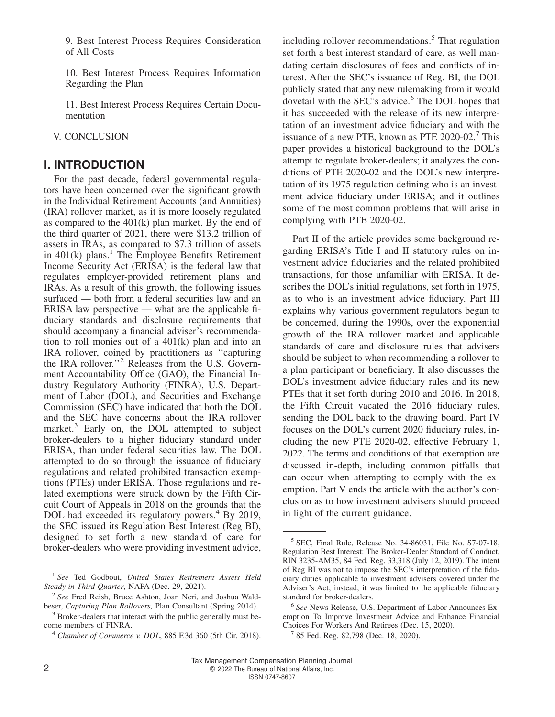9. Best Interest Process Requires Consideration of All Costs

10. Best Interest Process Requires Information Regarding the Plan

11. Best Interest Process Requires Certain Documentation

V. CONCLUSION

### **I. INTRODUCTION**

For the past decade, federal governmental regulators have been concerned over the significant growth in the Individual Retirement Accounts (and Annuities) (IRA) rollover market, as it is more loosely regulated as compared to the 401(k) plan market. By the end of the third quarter of 2021, there were \$13.2 trillion of assets in IRAs, as compared to \$7.3 trillion of assets in 401(k) plans.<sup>1</sup> The Employee Benefits Retirement Income Security Act (ERISA) is the federal law that regulates employer-provided retirement plans and IRAs. As a result of this growth, the following issues surfaced — both from a federal securities law and an ERISA law perspective — what are the applicable fiduciary standards and disclosure requirements that should accompany a financial adviser's recommendation to roll monies out of a 401(k) plan and into an IRA rollover, coined by practitioners as ''capturing the IRA rollover.''<sup>2</sup> Releases from the U.S. Government Accountability Office (GAO), the Financial Industry Regulatory Authority (FINRA), U.S. Department of Labor (DOL), and Securities and Exchange Commission (SEC) have indicated that both the DOL and the SEC have concerns about the IRA rollover market.<sup>3</sup> Early on, the DOL attempted to subject broker-dealers to a higher fiduciary standard under ERISA, than under federal securities law. The DOL attempted to do so through the issuance of fiduciary regulations and related prohibited transaction exemptions (PTEs) under ERISA. Those regulations and related exemptions were struck down by the Fifth Circuit Court of Appeals in 2018 on the grounds that the DOL had exceeded its regulatory powers.<sup>4</sup> By 2019, the SEC issued its Regulation Best Interest (Reg BI), designed to set forth a new standard of care for broker-dealers who were providing investment advice,

including rollover recommendations.<sup>5</sup> That regulation set forth a best interest standard of care, as well mandating certain disclosures of fees and conflicts of interest. After the SEC's issuance of Reg. BI, the DOL publicly stated that any new rulemaking from it would dovetail with the SEC's advice.<sup>6</sup> The DOL hopes that it has succeeded with the release of its new interpretation of an investment advice fiduciary and with the issuance of a new PTE, known as PTE 2020-02.<sup>7</sup> This paper provides a historical background to the DOL's attempt to regulate broker-dealers; it analyzes the conditions of PTE 2020-02 and the DOL's new interpretation of its 1975 regulation defining who is an investment advice fiduciary under ERISA; and it outlines some of the most common problems that will arise in complying with PTE 2020-02.

Part II of the article provides some background regarding ERISA's Title I and II statutory rules on investment advice fiduciaries and the related prohibited transactions, for those unfamiliar with ERISA. It describes the DOL's initial regulations, set forth in 1975, as to who is an investment advice fiduciary. Part III explains why various government regulators began to be concerned, during the 1990s, over the exponential growth of the IRA rollover market and applicable standards of care and disclosure rules that advisers should be subject to when recommending a rollover to a plan participant or beneficiary. It also discusses the DOL's investment advice fiduciary rules and its new PTEs that it set forth during 2010 and 2016. In 2018, the Fifth Circuit vacated the 2016 fiduciary rules, sending the DOL back to the drawing board. Part IV focuses on the DOL's current 2020 fiduciary rules, including the new PTE 2020-02, effective February 1, 2022. The terms and conditions of that exemption are discussed in-depth, including common pitfalls that can occur when attempting to comply with the exemption. Part V ends the article with the author's conclusion as to how investment advisers should proceed in light of the current guidance.

<sup>1</sup> *See* Ted Godbout, *[United States Retirement Assets Held](https://www.napa-net.org/news-info/daily-news/us-retirement-assets-held-steady-third-quarter) [Steady in Third Quarter](https://www.napa-net.org/news-info/daily-news/us-retirement-assets-held-steady-third-quarter)*, NAPA (Dec. 29, 2021).

<sup>2</sup> *See* Fred Reish, Bruce Ashton, Joan Neri, and Joshua Waldbeser, *Capturing Plan Rollovers,* Plan Consultant (Spring 2014).

<sup>&</sup>lt;sup>3</sup> Broker-dealers that interact with the public generally must become members of FINRA.

<sup>4</sup> *Chamber of Commerce v. DOL*, 885 F.3d 360 (5th Cir. 2018).

<sup>5</sup> SEC, Final Rule, Release No. 34-86031, File No. S7-07-18, Regulation Best Interest: The Broker-Dealer Standard of Conduct, RIN 3235-AM35, 84 Fed. Reg. 33,318 (July 12, 2019). The intent of Reg BI was not to impose the SEC's interpretation of the fiduciary duties applicable to investment advisers covered under the Adviser's Act; instead, it was limited to the applicable fiduciary standard for broker-dealers.

<sup>6</sup> *See* [News Release, U.S. Department of Labor Announces Ex](https://www.dol.gov/newsroom/releases/ebsa/ebsa20201215)[emption To Improve Investment Advice and Enhance Financial](https://www.dol.gov/newsroom/releases/ebsa/ebsa20201215) [Choices For Workers And Retirees](https://www.dol.gov/newsroom/releases/ebsa/ebsa20201215) (Dec. 15, 2020).

<sup>7</sup> 85 Fed. Reg. 82,798 (Dec. 18, 2020).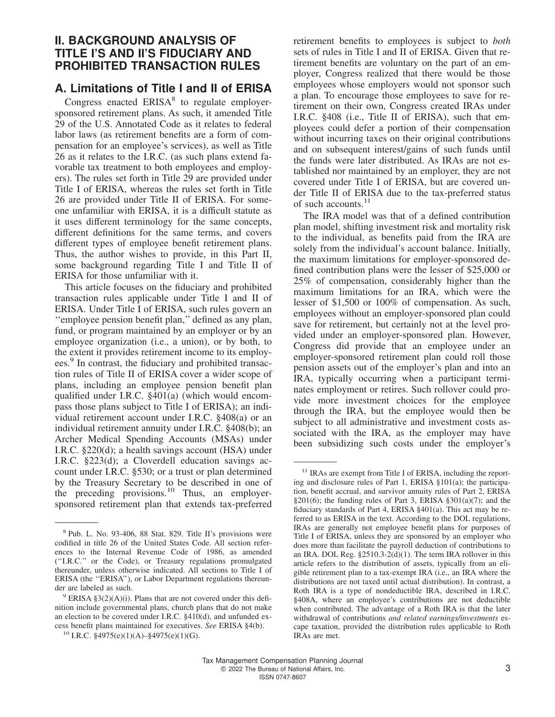# **II. BACKGROUND ANALYSIS OF TITLE I'S AND II'S FIDUCIARY AND PROHIBITED TRANSACTION RULES**

# **A. Limitations of Title I and II of ERISA**

Congress enacted ERISA<sup>8</sup> to regulate employersponsored retirement plans. As such, it amended Title 29 of the U.S. Annotated Code as it relates to federal labor laws (as retirement benefits are a form of compensation for an employee's services), as well as Title 26 as it relates to the I.R.C. (as such plans extend favorable tax treatment to both employees and employers). The rules set forth in Title 29 are provided under Title I of ERISA, whereas the rules set forth in Title 26 are provided under Title II of ERISA. For someone unfamiliar with ERISA, it is a difficult statute as it uses different terminology for the same concepts, different definitions for the same terms, and covers different types of employee benefit retirement plans. Thus, the author wishes to provide, in this Part II, some background regarding Title I and Title II of ERISA for those unfamiliar with it.

This article focuses on the fiduciary and prohibited transaction rules applicable under Title I and II of ERISA. Under Title I of ERISA, such rules govern an ''employee pension benefit plan,'' defined as any plan, fund, or program maintained by an employer or by an employee organization (i.e., a union), or by both, to the extent it provides retirement income to its employees.<sup>9</sup> In contrast, the fiduciary and prohibited transaction rules of Title II of ERISA cover a wider scope of plans, including an employee pension benefit plan qualified under I.R.C. §401(a) (which would encompass those plans subject to Title I of ERISA); an individual retirement account under I.R.C. §408(a) or an individual retirement annuity under I.R.C. §408(b); an Archer Medical Spending Accounts (MSAs) under I.R.C. §220(d); a health savings account (HSA) under I.R.C. §223(d); a Cloverdell education savings account under I.R.C. §530; or a trust or plan determined by the Treasury Secretary to be described in one of the preceding provisions.<sup>10</sup> Thus, an employersponsored retirement plan that extends tax-preferred retirement benefits to employees is subject to *both* sets of rules in Title I and II of ERISA. Given that retirement benefits are voluntary on the part of an employer, Congress realized that there would be those employees whose employers would not sponsor such a plan. To encourage those employees to save for retirement on their own, Congress created IRAs under I.R.C. §408 (i.e., Title II of ERISA), such that employees could defer a portion of their compensation without incurring taxes on their original contributions and on subsequent interest/gains of such funds until the funds were later distributed. As IRAs are not established nor maintained by an employer, they are not covered under Title I of ERISA, but are covered under Title II of ERISA due to the tax-preferred status of such accounts.<sup>11</sup>

The IRA model was that of a defined contribution plan model, shifting investment risk and mortality risk to the individual, as benefits paid from the IRA are solely from the individual's account balance. Initially, the maximum limitations for employer-sponsored defined contribution plans were the lesser of \$25,000 or 25% of compensation, considerably higher than the maximum limitations for an IRA, which were the lesser of \$1,500 or 100% of compensation. As such, employees without an employer-sponsored plan could save for retirement, but certainly not at the level provided under an employer-sponsored plan. However, Congress did provide that an employee under an employer-sponsored retirement plan could roll those pension assets out of the employer's plan and into an IRA, typically occurring when a participant terminates employment or retires. Such rollover could provide more investment choices for the employee through the IRA, but the employee would then be subject to all administrative and investment costs associated with the IRA, as the employer may have been subsidizing such costs under the employer's

<sup>&</sup>lt;sup>8</sup> Pub. L. No. 93-406, 88 Stat. 829. Title II's provisions were codified in title 26 of the United States Code. All section references to the Internal Revenue Code of 1986, as amended (''I.R.C.'' or the Code), or Treasury regulations promulgated thereunder, unless otherwise indicated. All sections to Title I of ERISA (the "ERISA"), or Labor Department regulations thereunder are labeled as such.

 $9$  ERISA §3(2)(A)(i). Plans that are not covered under this definition include governmental plans, church plans that do not make an election to be covered under I.R.C. §410(d), and unfunded excess benefit plans maintained for executives. *See* ERISA §4(b).

<sup>&</sup>lt;sup>10</sup> I.R.C. §4975(e)(1)(A)–§4975(e)(1)(G).

<sup>&</sup>lt;sup>11</sup> IRAs are exempt from Title I of ERISA, including the reporting and disclosure rules of Part 1, ERISA §101(a); the participation, benefit accrual, and survivor annuity rules of Part 2, ERISA  $§201(6)$ ; the funding rules of Part 3, ERISA  $§301(a)(7)$ ; and the fiduciary standards of Part 4, ERISA §401(a). This act may be referred to as ERISA in the text. According to the DOL regulations, IRAs are generally not employee benefit plans for purposes of Title I of ERISA, unless they are sponsored by an employer who does more than facilitate the payroll deduction of contributions to an IRA. DOL Reg. §2510.3-2(d)(1). The term IRA rollover in this article refers to the distribution of assets, typically from an eligible retirement plan to a tax-exempt IRA (i.e., an IRA where the distributions are not taxed until actual distribution). In contrast, a Roth IRA is a type of nondeductible IRA, described in I.R.C. §408A, where an employee's contributions are not deductible when contributed. The advantage of a Roth IRA is that the later withdrawal of contributions *and related earnings/investments* escape taxation, provided the distribution rules applicable to Roth IRAs are met.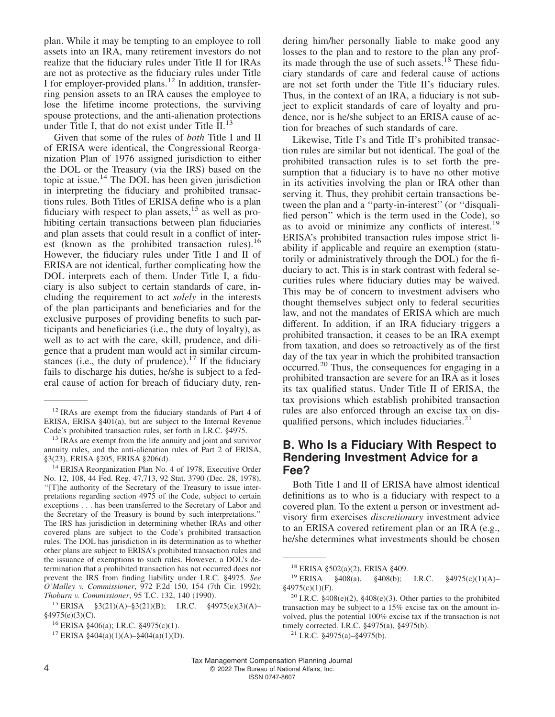plan. While it may be tempting to an employee to roll assets into an IRA, many retirement investors do not realize that the fiduciary rules under Title II for IRAs are not as protective as the fiduciary rules under Title I for employer-provided plans.<sup>12</sup> In addition, transferring pension assets to an IRA causes the employee to lose the lifetime income protections, the surviving spouse protections, and the anti-alienation protections under Title I, that do not exist under Title  $II$ .<sup>13</sup>

Given that some of the rules of *both* Title I and II of ERISA were identical, the Congressional Reorganization Plan of 1976 assigned jurisdiction to either the DOL or the Treasury (via the IRS) based on the topic at issue. $14$  The DOL has been given jurisdiction in interpreting the fiduciary and prohibited transactions rules. Both Titles of ERISA define who is a plan fiduciary with respect to plan assets,  $^{15}$  as well as prohibiting certain transactions between plan fiduciaries and plan assets that could result in a conflict of interest (known as the prohibited transaction rules).<sup>16</sup> However, the fiduciary rules under Title I and II of ERISA are not identical, further complicating how the DOL interprets each of them. Under Title I, a fiduciary is also subject to certain standards of care, including the requirement to act *solely* in the interests of the plan participants and beneficiaries and for the exclusive purposes of providing benefits to such participants and beneficiaries (i.e., the duty of loyalty), as well as to act with the care, skill, prudence, and diligence that a prudent man would act in similar circumstances (i.e., the duty of prudence).<sup>17</sup> If the fiduciary fails to discharge his duties, he/she is subject to a federal cause of action for breach of fiduciary duty, ren-

<sup>14</sup> ERISA Reorganization Plan No. 4 of 1978, Executive Order No. 12, 108, 44 Fed. Reg. 47,713, 92 Stat. 3790 (Dec. 28, 1978), ''[T]he authority of the Secretary of the Treasury to issue interpretations regarding section 4975 of the Code, subject to certain exceptions . . . has been transferred to the Secretary of Labor and the Secretary of the Treasury is bound by such interpretations.'' The IRS has jurisdiction in determining whether IRAs and other covered plans are subject to the Code's prohibited transaction rules. The DOL has jurisdiction in its determination as to whether other plans are subject to ERISA's prohibited transaction rules and the issuance of exemptions to such rules. However, a DOL's determination that a prohibited transaction has not occurred does not prevent the IRS from finding liability under I.R.C. §4975. *See O'Malley v. Commissioner*, 972 F.2d 150, 154 (7th Cir. 1992); *Thoburn v. Commissioner*, 95 T.C. 132, 140 (1990).

dering him/her personally liable to make good any losses to the plan and to restore to the plan any profits made through the use of such assets.<sup>18</sup> These fiduciary standards of care and federal cause of actions are not set forth under the Title II's fiduciary rules. Thus, in the context of an IRA, a fiduciary is not subject to explicit standards of care of loyalty and prudence, nor is he/she subject to an ERISA cause of action for breaches of such standards of care.

Likewise, Title I's and Title II's prohibited transaction rules are similar but not identical. The goal of the prohibited transaction rules is to set forth the presumption that a fiduciary is to have no other motive in its activities involving the plan or IRA other than serving it. Thus, they prohibit certain transactions between the plan and a ''party-in-interest'' (or ''disqualified person'' which is the term used in the Code), so as to avoid or minimize any conflicts of interest.<sup>19</sup> ERISA's prohibited transaction rules impose strict liability if applicable and require an exemption (statutorily or administratively through the DOL) for the fiduciary to act. This is in stark contrast with federal securities rules where fiduciary duties may be waived. This may be of concern to investment advisers who thought themselves subject only to federal securities law, and not the mandates of ERISA which are much different. In addition, if an IRA fiduciary triggers a prohibited transaction, it ceases to be an IRA exempt from taxation, and does so retroactively as of the first day of the tax year in which the prohibited transaction occurred.<sup>20</sup> Thus, the consequences for engaging in a prohibited transaction are severe for an IRA as it loses its tax qualified status. Under Title II of ERISA, the tax provisions which establish prohibited transaction rules are also enforced through an excise tax on disqualified persons, which includes fiduciaries. $21$ 

## **B. Who Is a Fiduciary With Respect to Rendering Investment Advice for a Fee?**

Both Title I and II of ERISA have almost identical definitions as to who is a fiduciary with respect to a covered plan. To the extent a person or investment advisory firm exercises *discretionary* investment advice to an ERISA covered retirement plan or an IRA (e.g., he/she determines what investments should be chosen

<sup>&</sup>lt;sup>12</sup> IRAs are exempt from the fiduciary standards of Part 4 of ERISA, ERISA §401(a), but are subject to the Internal Revenue Code's prohibited transaction rules, set forth in I.R.C. §4975.

<sup>&</sup>lt;sup>13</sup> IRAs are exempt from the life annuity and joint and survivor annuity rules, and the anti-alienation rules of Part 2 of ERISA, §3(23), ERISA §205, ERISA §206(d).

<sup>15</sup> ERISA §3(21)(A)–§3(21)(B); I.R.C. §4975(e)(3)(A)– §4975(e)(3)(C).

<sup>16</sup> ERISA §406(a); I.R.C. §4975(c)(1).

<sup>&</sup>lt;sup>17</sup> ERISA §404(a)(1)(A)-§404(a)(1)(D).

<sup>18</sup> ERISA §502(a)(2), ERISA §409.

<sup>19</sup> ERISA §408(a), §408(b); I.R.C. §4975(c)(1)(A)– §4975(c)(1)(F).

<sup>&</sup>lt;sup>20</sup> I.R.C. §408(e)(2), §408(e)(3). Other parties to the prohibited transaction may be subject to a 15% excise tax on the amount involved, plus the potential 100% excise tax if the transaction is not timely corrected. I.R.C. §4975(a), §4975(b).

<sup>&</sup>lt;sup>21</sup> I.R.C. §4975(a)–§4975(b).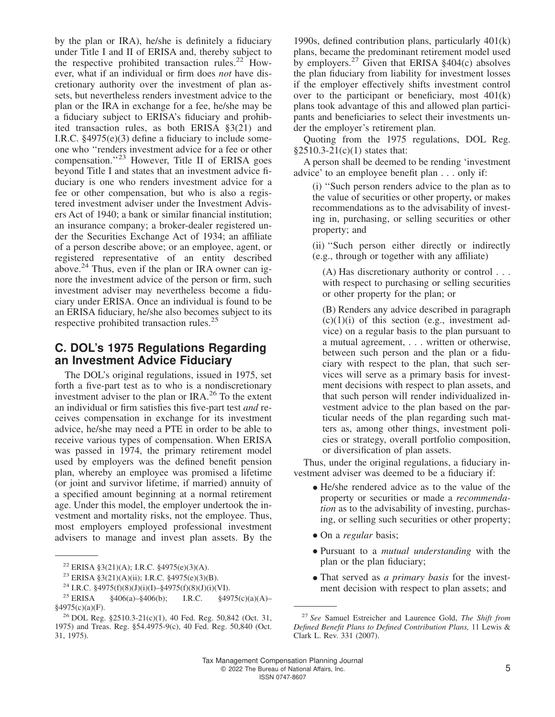by the plan or IRA), he/she is definitely a fiduciary under Title I and II of ERISA and, thereby subject to the respective prohibited transaction rules.<sup>22</sup> However, what if an individual or firm does *not* have discretionary authority over the investment of plan assets, but nevertheless renders investment advice to the plan or the IRA in exchange for a fee, he/she may be a fiduciary subject to ERISA's fiduciary and prohibited transaction rules, as both ERISA §3(21) and I.R.C. §4975(e)(3) define a fiduciary to include someone who ''renders investment advice for a fee or other compensation."<sup>23</sup> However, Title II of ERISA goes beyond Title I and states that an investment advice fiduciary is one who renders investment advice for a fee or other compensation, but who is also a registered investment adviser under the Investment Advisers Act of 1940; a bank or similar financial institution; an insurance company; a broker-dealer registered under the Securities Exchange Act of 1934; an affiliate of a person describe above; or an employee, agent, or registered representative of an entity described above. $24$  Thus, even if the plan or IRA owner can ignore the investment advice of the person or firm, such investment adviser may nevertheless become a fiduciary under ERISA. Once an individual is found to be an ERISA fiduciary, he/she also becomes subject to its respective prohibited transaction rules.<sup>25</sup>

# **C. DOL's 1975 Regulations Regarding an Investment Advice Fiduciary**

The DOL's original regulations, issued in 1975, set forth a five-part test as to who is a nondiscretionary investment adviser to the plan or IRA.<sup>26</sup> To the extent an individual or firm satisfies this five-part test *and* receives compensation in exchange for its investment advice, he/she may need a PTE in order to be able to receive various types of compensation. When ERISA was passed in 1974, the primary retirement model used by employers was the defined benefit pension plan, whereby an employee was promised a lifetime (or joint and survivor lifetime, if married) annuity of a specified amount beginning at a normal retirement age. Under this model, the employer undertook the investment and mortality risks, not the employee. Thus, most employers employed professional investment advisers to manage and invest plan assets. By the

1990s, defined contribution plans, particularly 401(k) plans, became the predominant retirement model used by employers.<sup>27</sup> Given that ERISA  $§$ 404(c) absolves the plan fiduciary from liability for investment losses if the employer effectively shifts investment control over to the participant or beneficiary, most 401(k) plans took advantage of this and allowed plan participants and beneficiaries to select their investments under the employer's retirement plan.

Quoting from the 1975 regulations, DOL Reg.  $§2510.3-21(c)(1)$  states that:

A person shall be deemed to be rending 'investment advice' to an employee benefit plan . . . only if:

(i) ''Such person renders advice to the plan as to the value of securities or other property, or makes recommendations as to the advisability of investing in, purchasing, or selling securities or other property; and

(ii) ''Such person either directly or indirectly (e.g., through or together with any affiliate)

(A) Has discretionary authority or control . . . with respect to purchasing or selling securities or other property for the plan; or

(B) Renders any advice described in paragraph  $(c)(1)(i)$  of this section (e.g., investment advice) on a regular basis to the plan pursuant to a mutual agreement, . . . written or otherwise, between such person and the plan or a fiduciary with respect to the plan, that such services will serve as a primary basis for investment decisions with respect to plan assets, and that such person will render individualized investment advice to the plan based on the particular needs of the plan regarding such matters as, among other things, investment policies or strategy, overall portfolio composition, or diversification of plan assets.

Thus, under the original regulations, a fiduciary investment adviser was deemed to be a fiduciary if:

- He/she rendered advice as to the value of the property or securities or made a *recommendation* as to the advisability of investing, purchasing, or selling such securities or other property;
- On a *regular* basis;
- Pursuant to a *mutual understanding* with the plan or the plan fiduciary;
- That served as *a primary basis* for the investment decision with respect to plan assets; and

<sup>&</sup>lt;sup>22</sup> ERISA §3(21)(A); I.R.C. §4975(e)(3)(A).

<sup>23</sup> ERISA §3(21)(A)(ii); I.R.C. §4975(e)(3)(B).

<sup>&</sup>lt;sup>24</sup> I.R.C. §4975(f)(8)(J)(i)(I)–§4975(f)(8)(J)(i)(VI).<br><sup>25</sup> ERISA §406(a)–§406(b); I.R.C. §49

 $§406(a) - §406(b);$  I.R.C.  $§4975(c)(a)(A) -$ §4975(c)(a)(F).

<sup>26</sup> DOL Reg. §2510.3-21(c)(1), 40 Fed. Reg. 50,842 (Oct. 31, 1975) and Treas. Reg. §54.4975-9(c), 40 Fed. Reg. 50,840 (Oct. 31, 1975).

<sup>27</sup> *See* Samuel Estreicher and Laurence Gold, *The Shift from Defined Benefit Plans to Defined Contribution Plans,* 11 Lewis & Clark L. Rev. 331 (2007).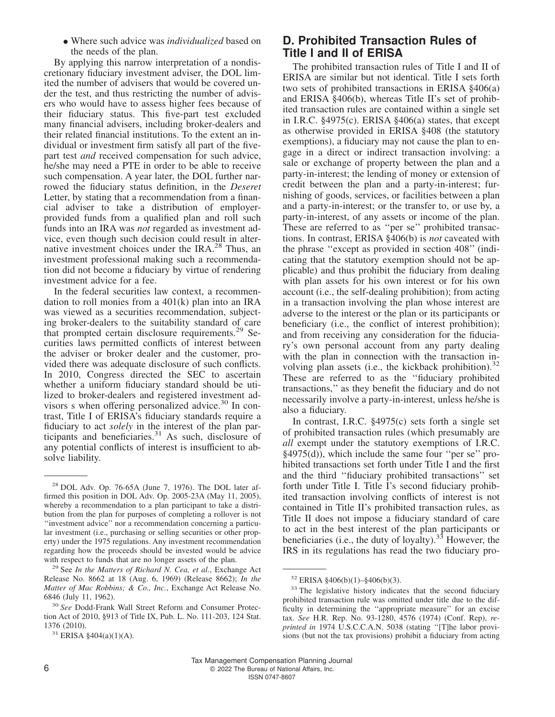• Where such advice was *individualized* based on the needs of the plan.

By applying this narrow interpretation of a nondiscretionary fiduciary investment adviser, the DOL limited the number of advisers that would be covered under the test, and thus restricting the number of advisers who would have to assess higher fees because of their fiduciary status. This five-part test excluded many financial advisers, including broker-dealers and their related financial institutions. To the extent an individual or investment firm satisfy all part of the fivepart test *and* received compensation for such advice, he/she may need a PTE in order to be able to receive such compensation. A year later, the DOL further narrowed the fiduciary status definition, in the *Deseret* Letter, by stating that a recommendation from a financial adviser to take a distribution of employerprovided funds from a qualified plan and roll such funds into an IRA was *not* regarded as investment advice, even though such decision could result in alternative investment choices under the IRA.<sup>28</sup> Thus, an investment professional making such a recommendation did not become a fiduciary by virtue of rendering investment advice for a fee.

In the federal securities law context, a recommendation to roll monies from a 401(k) plan into an IRA was viewed as a securities recommendation, subjecting broker-dealers to the suitability standard of care that prompted certain disclosure requirements.<sup>29</sup> Securities laws permitted conflicts of interest between the adviser or broker dealer and the customer, provided there was adequate disclosure of such conflicts. In 2010, Congress directed the SEC to ascertain whether a uniform fiduciary standard should be utilized to broker-dealers and registered investment advisors s when offering personalized advice.<sup>30</sup> In contrast, Title I of ERISA's fiduciary standards require a fiduciary to act *solely* in the interest of the plan participants and beneficiaries.<sup>31</sup> As such, disclosure of any potential conflicts of interest is insufficient to absolve liability.

# **D. Prohibited Transaction Rules of Title I and II of ERISA**

The prohibited transaction rules of Title I and II of ERISA are similar but not identical. Title I sets forth two sets of prohibited transactions in ERISA §406(a) and ERISA §406(b), whereas Title II's set of prohibited transaction rules are contained within a single set in I.R.C.  $\S$ 4975(c). ERISA  $\S$ 406(a) states, that except as otherwise provided in ERISA §408 (the statutory exemptions), a fiduciary may not cause the plan to engage in a direct or indirect transaction involving: a sale or exchange of property between the plan and a party-in-interest; the lending of money or extension of credit between the plan and a party-in-interest; furnishing of goods, services, or facilities between a plan and a party-in-interest; or the transfer to, or use by, a party-in-interest, of any assets or income of the plan. These are referred to as ''per se'' prohibited transactions. In contrast, ERISA §406(b) is *not* caveated with the phrase ''except as provided in section 408'' (indicating that the statutory exemption should not be applicable) and thus prohibit the fiduciary from dealing with plan assets for his own interest or for his own account (i.e., the self-dealing prohibition); from acting in a transaction involving the plan whose interest are adverse to the interest or the plan or its participants or beneficiary (i.e., the conflict of interest prohibition); and from receiving any consideration for the fiduciary's own personal account from any party dealing with the plan in connection with the transaction involving plan assets (i.e., the kickback prohibition).<sup>32</sup> These are referred to as the ''fiduciary prohibited transactions,'' as they benefit the fiduciary and do not necessarily involve a party-in-interest, unless he/she is also a fiduciary.

In contrast, I.R.C. §4975(c) sets forth a single set of prohibited transaction rules (which presumably are *all* exempt under the statutory exemptions of I.R.C. §4975(d)), which include the same four ''per se'' prohibited transactions set forth under Title I and the first and the third ''fiduciary prohibited transactions'' set forth under Title I. Title I's second fiduciary prohibited transaction involving conflicts of interest is not contained in Title II's prohibited transaction rules, as Title II does not impose a fiduciary standard of care to act in the best interest of the plan participants or beneficiaries (i.e., the duty of loyalty).<sup>33</sup> However, the IRS in its regulations has read the two fiduciary pro-

<sup>28</sup> DOL Adv. Op. 76-65A (June 7, 1976). The DOL later affirmed this position in DOL Adv. Op. 2005-23A (May 11, 2005), whereby a recommendation to a plan participant to take a distribution from the plan for purposes of completing a rollover is not ''investment advice'' nor a recommendation concerning a particular investment (i.e., purchasing or selling securities or other property) under the 1975 regulations. Any investment recommendation regarding how the proceeds should be invested would be advice with respect to funds that are no longer assets of the plan.

<sup>29</sup> See *In the Matters of Richard N. Cea, et al.*, Exchange Act Release No. 8662 at 18 (Aug. 6, 1969) (Release 8662); *In the Matter of Mac Robbins; & Co., Inc.*, Exchange Act Release No. 6846 (July 11, 1962).

<sup>30</sup> *See* Dodd-Frank Wall Street Reform and Consumer Protection Act of 2010, §913 of Title IX, Pub. L. No. 111-203, 124 Stat. 1376 (2010).

 $31$  ERISA §404(a)(1)(A).

 $32$  ERISA §406(b)(1)–§406(b)(3).

<sup>&</sup>lt;sup>33</sup> The legislative history indicates that the second fiduciary prohibited transaction rule was omitted under title due to the difficulty in determining the ''appropriate measure'' for an excise tax. *See* H.R. Rep. No. 93-1280, 4576 (1974) (Conf. Rep), *reprinted in* 1974 U.S.C.C.A.N. 5038 (stating ''[T]he labor provisions (but not the tax provisions) prohibit a fiduciary from acting

Tax Management Compensation Planning Journal 6 **6 2022** The Bureau of National Affairs, Inc.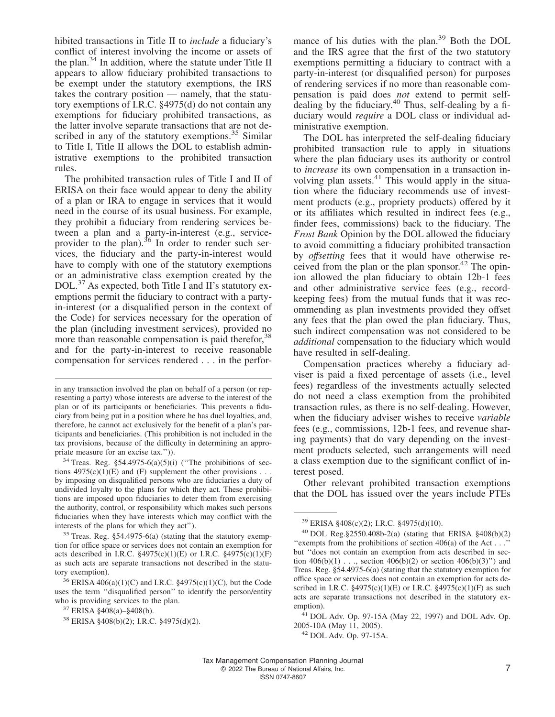hibited transactions in Title II to *include* a fiduciary's conflict of interest involving the income or assets of the plan.<sup>34</sup> In addition, where the statute under Title II appears to allow fiduciary prohibited transactions to be exempt under the statutory exemptions, the IRS takes the contrary position — namely, that the statutory exemptions of I.R.C. §4975(d) do not contain any exemptions for fiduciary prohibited transactions, as the latter involve separate transactions that are not described in any of the statutory exemptions. $35$  Similar to Title I, Title II allows the DOL to establish administrative exemptions to the prohibited transaction rules.

The prohibited transaction rules of Title I and II of ERISA on their face would appear to deny the ability of a plan or IRA to engage in services that it would need in the course of its usual business. For example, they prohibit a fiduciary from rendering services between a plan and a party-in-interest (e.g., serviceprovider to the plan).<sup>36</sup> In order to render such services, the fiduciary and the party-in-interest would have to comply with one of the statutory exemptions or an administrative class exemption created by the DOL.<sup>37</sup> As expected, both Title I and II's statutory exemptions permit the fiduciary to contract with a partyin-interest (or a disqualified person in the context of the Code) for services necessary for the operation of the plan (including investment services), provided no more than reasonable compensation is paid therefor,<sup>38</sup> and for the party-in-interest to receive reasonable compensation for services rendered . . . in the performance of his duties with the plan.<sup>39</sup> Both the DOL and the IRS agree that the first of the two statutory exemptions permitting a fiduciary to contract with a party-in-interest (or disqualified person) for purposes of rendering services if no more than reasonable compensation is paid does *not* extend to permit selfdealing by the fiduciary.<sup>40</sup> Thus, self-dealing by a fiduciary would *require* a DOL class or individual administrative exemption.

The DOL has interpreted the self-dealing fiduciary prohibited transaction rule to apply in situations where the plan fiduciary uses its authority or control to *increase* its own compensation in a transaction involving plan assets.<sup>41</sup> This would apply in the situation where the fiduciary recommends use of investment products (e.g., propriety products) offered by it or its affiliates which resulted in indirect fees (e.g., finder fees, commissions) back to the fiduciary. The *Frost Bank* Opinion by the DOL allowed the fiduciary to avoid committing a fiduciary prohibited transaction by *offsetting* fees that it would have otherwise received from the plan or the plan sponsor.<sup>42</sup> The opinion allowed the plan fiduciary to obtain 12b-1 fees and other administrative service fees (e.g., recordkeeping fees) from the mutual funds that it was recommending as plan investments provided they offset any fees that the plan owed the plan fiduciary. Thus, such indirect compensation was not considered to be *additional* compensation to the fiduciary which would have resulted in self-dealing.

Compensation practices whereby a fiduciary adviser is paid a fixed percentage of assets (i.e., level fees) regardless of the investments actually selected do not need a class exemption from the prohibited transaction rules, as there is no self-dealing. However, when the fiduciary adviser wishes to receive *variable* fees (e.g., commissions, 12b-1 fees, and revenue sharing payments) that do vary depending on the investment products selected, such arrangements will need a class exemption due to the significant conflict of interest posed.

Other relevant prohibited transaction exemptions that the DOL has issued over the years include PTEs

in any transaction involved the plan on behalf of a person (or representing a party) whose interests are adverse to the interest of the plan or of its participants or beneficiaries. This prevents a fiduciary from being put in a position where he has duel loyalties, and, therefore, he cannot act exclusively for the benefit of a plan's participants and beneficiaries. (This prohibition is not included in the tax provisions, because of the difficulty in determining an appropriate measure for an excise tax.'')).

<sup>&</sup>lt;sup>34</sup> Treas. Reg.  $\S$ 54.4975-6(a)(5)(i) ("The prohibitions of sections  $4975(c)(1)(E)$  and (F) supplement the other provisions . . . by imposing on disqualified persons who are fiduciaries a duty of undivided loyalty to the plans for which they act. These prohibitions are imposed upon fiduciaries to deter them from exercising the authority, control, or responsibility which makes such persons fiduciaries when they have interests which may conflict with the interests of the plans for which they act'').

<sup>35</sup> Treas. Reg. §54.4975-6(a) (stating that the statutory exemption for office space or services does not contain an exemption for acts described in I.R.C.  $\S 4975(c)(1)(E)$  or I.R.C.  $\S 4975(c)(1)(F)$ as such acts are separate transactions not described in the statutory exemption).

<sup>36</sup> ERISA 406(a)(1)(C) and I.R.C. §4975(c)(1)(C), but the Code uses the term ''disqualified person'' to identify the person/entity who is providing services to the plan.

<sup>37</sup> ERISA §408(a)–§408(b).

<sup>38</sup> ERISA §408(b)(2); I.R.C. §4975(d)(2).

<sup>39</sup> ERISA §408(c)(2); I.R.C. §4975(d)(10).

<sup>40</sup> DOL Reg.§2550.408b-2(a) (stating that ERISA §408(b)(2) "exempts from the prohibitions of section  $406(a)$  of the Act . . ." but ''does not contain an exemption from acts described in section  $406(b)(1)$ ..., section  $406(b)(2)$  or section  $406(b)(3)$ " and Treas. Reg. §54.4975-6(a) (stating that the statutory exemption for office space or services does not contain an exemption for acts described in I.R.C.  $$4975(c)(1)(E)$  or I.R.C.  $$4975(c)(1)(F)$  as such acts are separate transactions not described in the statutory exemption).

<sup>41</sup> DOL Adv. Op. 97-15A (May 22, 1997) and DOL Adv. Op. 2005-10A (May 11, 2005).

<sup>42</sup> DOL Adv. Op. 97-15A.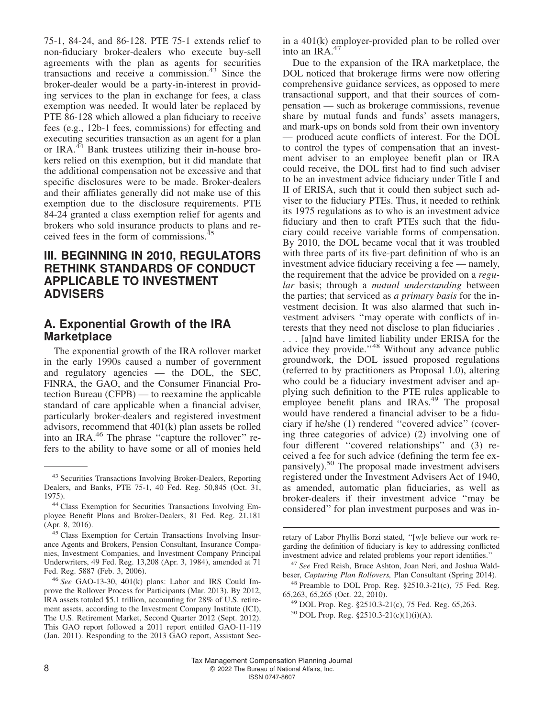75-1, 84-24, and 86-128. PTE 75-1 extends relief to non-fiduciary broker-dealers who execute buy-sell agreements with the plan as agents for securities transactions and receive a commission.<sup>43</sup> Since the broker-dealer would be a party-in-interest in providing services to the plan in exchange for fees, a class exemption was needed. It would later be replaced by PTE 86-128 which allowed a plan fiduciary to receive fees (e.g., 12b-1 fees, commissions) for effecting and executing securities transaction as an agent for a plan or IRA. $^{44}$  Bank trustees utilizing their in-house brokers relied on this exemption, but it did mandate that the additional compensation not be excessive and that specific disclosures were to be made. Broker-dealers and their affiliates generally did not make use of this exemption due to the disclosure requirements. PTE 84-24 granted a class exemption relief for agents and brokers who sold insurance products to plans and received fees in the form of commissions.<sup>4</sup>

# **III. BEGINNING IN 2010, REGULATORS RETHINK STANDARDS OF CONDUCT APPLICABLE TO INVESTMENT ADVISERS**

# **A. Exponential Growth of the IRA Marketplace**

The exponential growth of the IRA rollover market in the early 1990s caused a number of government and regulatory agencies — the DOL, the SEC, FINRA, the GAO, and the Consumer Financial Protection Bureau (CFPB) — to reexamine the applicable standard of care applicable when a financial adviser, particularly broker-dealers and registered investment advisors, recommend that 401(k) plan assets be rolled into an IRA.<sup>46</sup> The phrase "capture the rollover" refers to the ability to have some or all of monies held in a 401(k) employer-provided plan to be rolled over into an IRA.<sup>47</sup>

Due to the expansion of the IRA marketplace, the DOL noticed that brokerage firms were now offering comprehensive guidance services, as opposed to mere transactional support, and that their sources of compensation — such as brokerage commissions, revenue share by mutual funds and funds' assets managers, and mark-ups on bonds sold from their own inventory — produced acute conflicts of interest. For the DOL to control the types of compensation that an investment adviser to an employee benefit plan or IRA could receive, the DOL first had to find such adviser to be an investment advice fiduciary under Title I and II of ERISA, such that it could then subject such adviser to the fiduciary PTEs. Thus, it needed to rethink its 1975 regulations as to who is an investment advice fiduciary and then to craft PTEs such that the fiduciary could receive variable forms of compensation. By 2010, the DOL became vocal that it was troubled with three parts of its five-part definition of who is an investment advice fiduciary receiving a fee — namely, the requirement that the advice be provided on a *regular* basis; through a *mutual understanding* between the parties; that serviced as *a primary basis* for the investment decision. It was also alarmed that such investment advisers ''may operate with conflicts of interests that they need not disclose to plan fiduciaries . . . . [a]nd have limited liability under ERISA for the advice they provide.''<sup>48</sup> Without any advance public groundwork, the DOL issued proposed regulations (referred to by practitioners as Proposal 1.0), altering who could be a fiduciary investment adviser and applying such definition to the PTE rules applicable to employee benefit plans and IRAs.<sup>49</sup> The proposal would have rendered a financial adviser to be a fiduciary if he/she (1) rendered ''covered advice'' (covering three categories of advice) (2) involving one of four different ''covered relationships'' and (3) received a fee for such advice (defining the term fee expansively).<sup>50</sup> The proposal made investment advisers registered under the Investment Advisers Act of 1940, as amended, automatic plan fiduciaries, as well as broker-dealers if their investment advice ''may be considered'' for plan investment purposes and was in-

<sup>43</sup> Securities Transactions Involving Broker-Dealers, Reporting Dealers, and Banks, PTE 75-1, 40 Fed. Reg. 50,845 (Oct. 31, 1975).

<sup>44</sup> Class Exemption for Securities Transactions Involving Employee Benefit Plans and Broker-Dealers, 81 Fed. Reg. 21,181 (Apr. 8, 2016).

<sup>&</sup>lt;sup>45</sup> Class Exemption for Certain Transactions Involving Insurance Agents and Brokers, Pension Consultant, Insurance Companies, Investment Companies, and Investment Company Principal Underwriters, 49 Fed. Reg. 13,208 (Apr. 3, 1984), amended at 71 Fed. Reg. 5887 (Feb. 3, 2006).

<sup>46</sup> *See* GAO-13-30, [401\(k\) plans: Labor and IRS Could Im](http://www.goa.gov/assets/660/652881.pdf)[prove the Rollover Process for Participants](http://www.goa.gov/assets/660/652881.pdf) (Mar. 2013). By 2012, IRA assets totaled \$5.1 trillion, accounting for 28% of U.S. retirement assets, according to the Investment Company Institute (ICI), [The U.S. Retirement Market, Second Quarter 2012](http://k/www.ici.org/info/ret_12_q2_data.xis) (Sept. 2012). This GAO report followed a 2011 report entitled GAO-11-119 (Jan. 2011). Responding to the 2013 GAO report, Assistant Sec-

retary of Labor Phyllis Borzi stated, ''[w]e believe our work regarding the definition of fiduciary is key to addressing conflicted investment advice and related problems your report identifies.''

<sup>47</sup> *See* Fred Reish, Bruce Ashton, Joan Neri, and Joshua Waldbeser, *Capturing Plan Rollovers,* Plan Consultant (Spring 2014).

 $48$  Preamble to DOL Prop. Reg.  $\S2510.3-21(c)$ , 75 Fed. Reg. 65,263, 65,265 (Oct. 22, 2010).

<sup>49</sup> DOL Prop. Reg. §2510.3-21(c), 75 Fed. Reg. 65,263.

<sup>50</sup> DOL Prop. Reg. §2510.3-21(c)(1)(i)(A).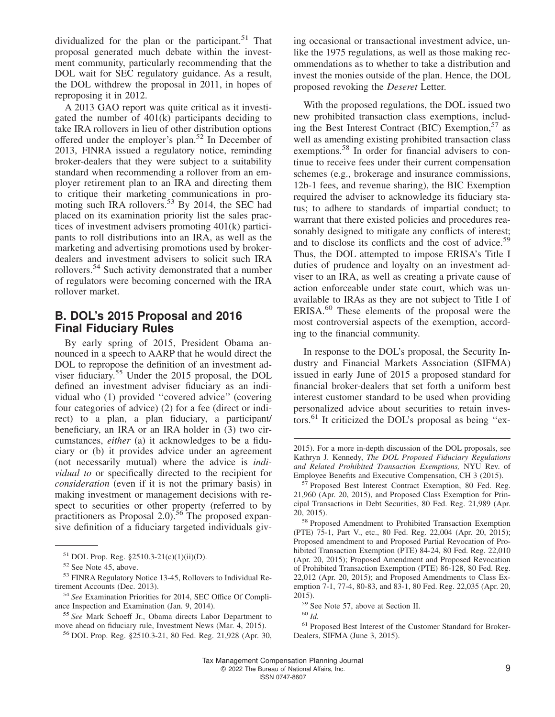dividualized for the plan or the participant.<sup>51</sup> That proposal generated much debate within the investment community, particularly recommending that the DOL wait for SEC regulatory guidance. As a result, the DOL withdrew the proposal in 2011, in hopes of reproposing it in 2012.

A 2013 GAO report was quite critical as it investigated the number of 401(k) participants deciding to take IRA rollovers in lieu of other distribution options offered under the employer's plan.<sup>52</sup> In December of 2013, FINRA issued a regulatory notice, reminding broker-dealers that they were subject to a suitability standard when recommending a rollover from an employer retirement plan to an IRA and directing them to critique their marketing communications in promoting such IRA rollovers.<sup>53</sup> By 2014, the SEC had placed on its examination priority list the sales practices of investment advisers promoting 401(k) participants to roll distributions into an IRA, as well as the marketing and advertising promotions used by brokerdealers and investment advisers to solicit such IRA rollovers.<sup>54</sup> Such activity demonstrated that a number of regulators were becoming concerned with the IRA rollover market.

# **B. DOL's 2015 Proposal and 2016 Final Fiduciary Rules**

By early spring of 2015, President Obama announced in a speech to AARP that he would direct the DOL to repropose the definition of an investment adviser fiduciary.<sup>55</sup> Under the 2015 proposal, the DOL defined an investment adviser fiduciary as an individual who (1) provided ''covered advice'' (covering four categories of advice) (2) for a fee (direct or indirect) to a plan, a plan fiduciary, a participant/ beneficiary, an IRA or an IRA holder in (3) two circumstances, *either* (a) it acknowledges to be a fiduciary or (b) it provides advice under an agreement (not necessarily mutual) where the advice is *individual to* or specifically directed to the recipient for *consideration* (even if it is not the primary basis) in making investment or management decisions with respect to securities or other property (referred to by practitioners as Proposal 2.0).<sup>56</sup> The proposed expansive definition of a fiduciary targeted individuals giv-

ing occasional or transactional investment advice, unlike the 1975 regulations, as well as those making recommendations as to whether to take a distribution and invest the monies outside of the plan. Hence, the DOL proposed revoking the *Deseret* Letter.

With the proposed regulations, the DOL issued two new prohibited transaction class exemptions, including the Best Interest Contract (BIC) Exemption, $57$  as well as amending existing prohibited transaction class exemptions.<sup>58</sup> In order for financial advisers to continue to receive fees under their current compensation schemes (e.g., brokerage and insurance commissions, 12b-1 fees, and revenue sharing), the BIC Exemption required the adviser to acknowledge its fiduciary status; to adhere to standards of impartial conduct; to warrant that there existed policies and procedures reasonably designed to mitigate any conflicts of interest; and to disclose its conflicts and the cost of advice.<sup>59</sup> Thus, the DOL attempted to impose ERISA's Title I duties of prudence and loyalty on an investment adviser to an IRA, as well as creating a private cause of action enforceable under state court, which was unavailable to IRAs as they are not subject to Title I of ERISA.<sup>60</sup> These elements of the proposal were the most controversial aspects of the exemption, according to the financial community.

In response to the DOL's proposal, the Security Industry and Financial Markets Association (SIFMA) issued in early June of 2015 a proposed standard for financial broker-dealers that set forth a uniform best interest customer standard to be used when providing personalized advice about securities to retain investors.<sup>61</sup> It criticized the DOL's proposal as being ''ex-

 $51$  DOL Prop. Reg. §2510.3-21(c)(1)(ii)(D).

<sup>52</sup> See Note 45, above.

<sup>53</sup> FINRA Regulatory Notice 13-45, Rollovers to Individual Retirement Accounts (Dec. 2013).

<sup>54</sup> *See* [Examination Priorities for 2014,](http://www.sec.gov/about/offices/ocie/national--examination-proghram-priorities-2014.pdf) SEC Office Of Compliance Inspection and Examination (Jan. 9, 2014).

<sup>55</sup> *See* Mark Schoeff Jr., [Obama directs Labor Department to](https://www.investmentnews.com/obama-directs-labor-department-to-move-ahead-on-fiduciary-rule-61129) [move ahead on fiduciary rule,](https://www.investmentnews.com/obama-directs-labor-department-to-move-ahead-on-fiduciary-rule-61129) Investment News (Mar. 4, 2015).

<sup>56</sup> DOL Prop. Reg. §2510.3-21, 80 Fed. Reg. 21,928 (Apr. 30,

<sup>2015).</sup> For a more in-depth discussion of the DOL proposals, see Kathryn J. Kennedy, *The DOL Proposed Fiduciary Regulations and Related Prohibited Transaction Exemptions,* NYU Rev. of Employee Benefits and Executive Compensation, CH 3 (2015).

<sup>57</sup> Proposed Best Interest Contract Exemption, 80 Fed. Reg. 21,960 (Apr. 20, 2015), and Proposed Class Exemption for Principal Transactions in Debt Securities, 80 Fed. Reg. 21,989 (Apr. 20, 2015).

<sup>58</sup> Proposed Amendment to Prohibited Transaction Exemption (PTE) 75-1, Part V., etc., 80 Fed. Reg. 22,004 (Apr. 20, 2015); Proposed amendment to and Proposed Partial Revocation of Prohibited Transaction Exemption (PTE) 84-24, 80 Fed. Reg. 22,010 (Apr. 20, 2015); Proposed Amendment and Proposed Revocation of Prohibited Transaction Exemption (PTE) 86-128, 80 Fed. Reg. 22,012 (Apr. 20, 2015); and Proposed Amendments to Class Exemption 7-1, 77-4, 80-83, and 83-1, 80 Fed. Reg. 22,035 (Apr. 20, 2015).

<sup>59</sup> See Note 57, above at Section II.

<sup>60</sup> *Id.*

<sup>61</sup> [Proposed Best Interest of the Customer Standard for Broker-](https://www.sifma.org/resources/submissions/proposed-best-interests-of-the-customer-standard-for-broker-dealers/)[Dealers,](https://www.sifma.org/resources/submissions/proposed-best-interests-of-the-customer-standard-for-broker-dealers/) SIFMA (June 3, 2015).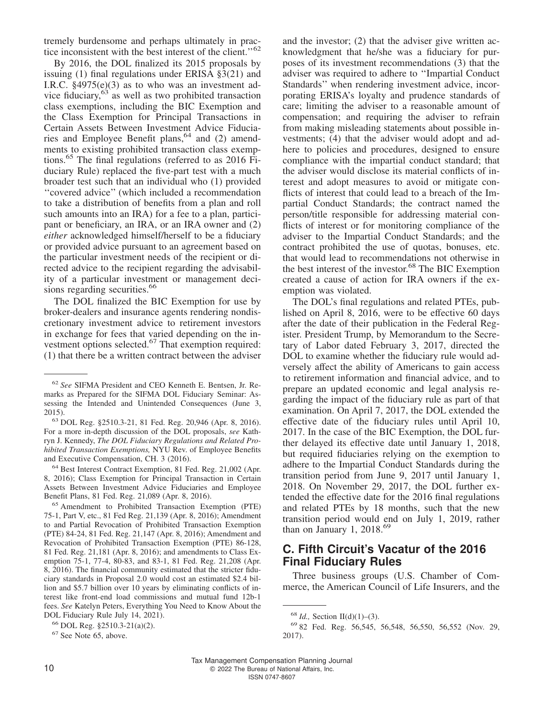tremely burdensome and perhaps ultimately in practice inconsistent with the best interest of the client."<sup>62</sup>

By 2016, the DOL finalized its 2015 proposals by issuing (1) final regulations under ERISA §3(21) and I.R.C. §4975(e)(3) as to who was an investment advice fiduciary, $63$  as well as two prohibited transaction class exemptions, including the BIC Exemption and the Class Exemption for Principal Transactions in Certain Assets Between Investment Advice Fiduciaries and Employee Benefit plans,  $64$  and (2) amendments to existing prohibited transaction class exemptions.<sup>65</sup> The final regulations (referred to as  $2016$  Fiduciary Rule) replaced the five-part test with a much broader test such that an individual who (1) provided ''covered advice'' (which included a recommendation to take a distribution of benefits from a plan and roll such amounts into an IRA) for a fee to a plan, participant or beneficiary, an IRA, or an IRA owner and (2) *either* acknowledged himself/herself to be a fiduciary or provided advice pursuant to an agreement based on the particular investment needs of the recipient or directed advice to the recipient regarding the advisability of a particular investment or management decisions regarding securities.<sup>66</sup>

The DOL finalized the BIC Exemption for use by broker-dealers and insurance agents rendering nondiscretionary investment advice to retirement investors in exchange for fees that varied depending on the investment options selected.<sup>67</sup> That exemption required: (1) that there be a written contract between the adviser

<sup>64</sup> Best Interest Contract Exemption, 81 Fed. Reg. 21,002 (Apr. 8, 2016); Class Exemption for Principal Transaction in Certain Assets Between Investment Advice Fiduciaries and Employee Benefit Plans, 81 Fed. Reg. 21,089 (Apr. 8, 2016).

<sup>65</sup> Amendment to Prohibited Transaction Exemption (PTE) 75-1, Part V, etc., 81 Fed Reg. 21,139 (Apr. 8, 2016); Amendment to and Partial Revocation of Prohibited Transaction Exemption (PTE) 84-24, 81 Fed. Reg. 21,147 (Apr. 8, 2016); Amendment and Revocation of Prohibited Transaction Exemption (PTE) 86-128, 81 Fed. Reg. 21,181 (Apr. 8, 2016); and amendments to Class Exemption 75-1, 77-4, 80-83, and 83-1, 81 Fed. Reg. 21,208 (Apr. 8, 2016). The financial community estimated that the stricter fiduciary standards in Proposal 2.0 would cost an estimated \$2.4 billion and \$5.7 billion over 10 years by eliminating conflicts of interest like front-end load commissions and mutual fund 12b-1 fees. *See* Katelyn Peters, [Everything You Need to Know About the](https://www.investopedia.com/updates/dol-fiduciary-rule/#citation-3) [DOL Fiduciary Rule](https://www.investopedia.com/updates/dol-fiduciary-rule/#citation-3) July 14, 2021).

<sup>66</sup> DOL Reg. §2510.3-21(a)(2).

and the investor; (2) that the adviser give written acknowledgment that he/she was a fiduciary for purposes of its investment recommendations (3) that the adviser was required to adhere to ''Impartial Conduct Standards'' when rendering investment advice, incorporating ERISA's loyalty and prudence standards of care; limiting the adviser to a reasonable amount of compensation; and requiring the adviser to refrain from making misleading statements about possible investments; (4) that the adviser would adopt and adhere to policies and procedures, designed to ensure compliance with the impartial conduct standard; that the adviser would disclose its material conflicts of interest and adopt measures to avoid or mitigate conflicts of interest that could lead to a breach of the Impartial Conduct Standards; the contract named the person/title responsible for addressing material conflicts of interest or for monitoring compliance of the adviser to the Impartial Conduct Standards; and the contract prohibited the use of quotas, bonuses, etc. that would lead to recommendations not otherwise in the best interest of the investor.<sup>68</sup> The BIC Exemption created a cause of action for IRA owners if the exemption was violated.

The DOL's final regulations and related PTEs, published on April 8, 2016, were to be effective 60 days after the date of their publication in the Federal Register. President Trump, by Memorandum to the Secretary of Labor dated February 3, 2017, directed the DOL to examine whether the fiduciary rule would adversely affect the ability of Americans to gain access to retirement information and financial advice, and to prepare an updated economic and legal analysis regarding the impact of the fiduciary rule as part of that examination. On April 7, 2017, the DOL extended the effective date of the fiduciary rules until April 10, 2017. In the case of the BIC Exemption, the DOL further delayed its effective date until January 1, 2018, but required fiduciaries relying on the exemption to adhere to the Impartial Conduct Standards during the transition period from June 9, 2017 until January 1, 2018. On November 29, 2017, the DOL further extended the effective date for the 2016 final regulations and related PTEs by 18 months, such that the new transition period would end on July 1, 2019, rather than on January 1, 2018.<sup>69</sup>

# **C. Fifth Circuit's Vacatur of the 2016 Final Fiduciary Rules**

Three business groups (U.S. Chamber of Commerce, the American Council of Life Insurers, and the

<sup>62</sup> *See* [SIFMA President and CEO Kenneth E. Bentsen, Jr. Re](https://www.sifma.org/wp-content/uploads/2017/08/Bentsen-DOL-Seminar-Remarks.pdf)[marks as Prepared for the SIFMA DOL Fiduciary Seminar: As](https://www.sifma.org/wp-content/uploads/2017/08/Bentsen-DOL-Seminar-Remarks.pdf)[sessing the Intended and Unintended Consequences](https://www.sifma.org/wp-content/uploads/2017/08/Bentsen-DOL-Seminar-Remarks.pdf) (June 3, 2015).

<sup>63</sup> DOL Reg. §2510.3-21, 81 Fed. Reg. 20,946 (Apr. 8, 2016). For a more in-depth discussion of the DOL proposals, *see* Kathryn J. Kennedy, *The DOL Fiduciary Regulations and Related Prohibited Transaction Exemptions,* NYU Rev. of Employee Benefits and Executive Compensation, CH. 3 (2016).

<sup>67</sup> See Note 65, above.

<sup>68</sup> *Id.,* Section II(d)(1)–(3).

<sup>69</sup> 82 Fed. Reg. 56,545, 56,548, 56,550, 56,552 (Nov. 29, 2017).

Tax Management Compensation Planning Journal 10 C 2022 The Bureau of National Affairs, Inc. ISSN 0747-8607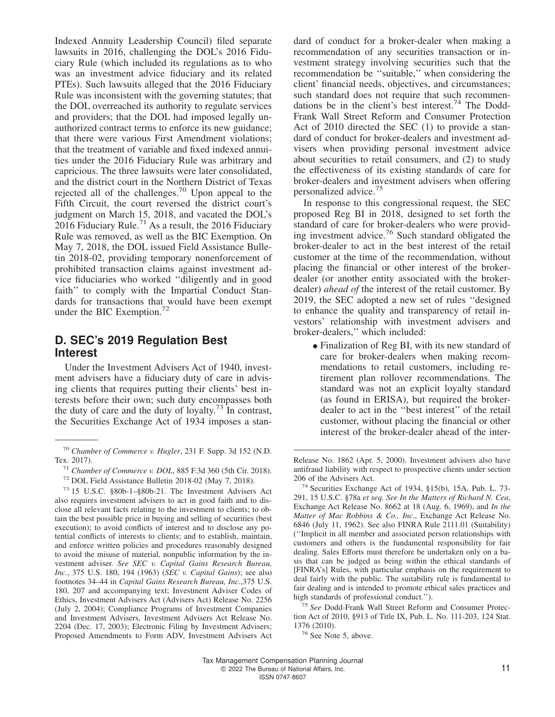Indexed Annuity Leadership Council) filed separate lawsuits in 2016, challenging the DOL's 2016 Fiduciary Rule (which included its regulations as to who was an investment advice fiduciary and its related PTEs). Such lawsuits alleged that the 2016 Fiduciary Rule was inconsistent with the governing statutes; that the DOL overreached its authority to regulate services and providers; that the DOL had imposed legally unauthorized contract terms to enforce its new guidance; that there were various First Amendment violations; that the treatment of variable and fixed indexed annuities under the 2016 Fiduciary Rule was arbitrary and capricious. The three lawsuits were later consolidated, and the district court in the Northern District of Texas rejected all of the challenges.<sup>70</sup> Upon appeal to the Fifth Circuit, the court reversed the district court's judgment on March 15, 2018, and vacated the DOL's 2016 Fiduciary Rule.<sup>71</sup> As a result, the 2016 Fiduciary Rule was removed, as well as the BIC Exemption. On May 7, 2018, the DOL issued Field Assistance Bulletin 2018-02, providing temporary nonenforcement of prohibited transaction claims against investment advice fiduciaries who worked ''diligently and in good faith'' to comply with the Impartial Conduct Standards for transactions that would have been exempt under the BIC Exemption.<sup>72</sup>

# **D. SEC's 2019 Regulation Best Interest**

Under the Investment Advisers Act of 1940, investment advisers have a fiduciary duty of care in advising clients that requires putting their clients' best interests before their own; such duty encompasses both the duty of care and the duty of loyalty.<sup>73</sup> In contrast, the Securities Exchange Act of 1934 imposes a standard of conduct for a broker-dealer when making a recommendation of any securities transaction or investment strategy involving securities such that the recommendation be ''suitable,'' when considering the client' financial needs, objectives, and circumstances; such standard does not require that such recommendations be in the client's best interest.<sup>74</sup> The Dodd-Frank Wall Street Reform and Consumer Protection Act of 2010 directed the SEC (1) to provide a standard of conduct for broker-dealers and investment advisers when providing personal investment advice about securities to retail consumers, and (2) to study the effectiveness of its existing standards of care for broker-dealers and investment advisers when offering personalized advice.<sup>75</sup>

In response to this congressional request, the SEC proposed Reg BI in 2018, designed to set forth the standard of care for broker-dealers who were providing investment advice.<sup>76</sup> Such standard obligated the broker-dealer to act in the best interest of the retail customer at the time of the recommendation, without placing the financial or other interest of the brokerdealer (or another entity associated with the brokerdealer) *ahead of* the interest of the retail customer. By 2019, the SEC adopted a new set of rules ''designed to enhance the quality and transparency of retail investors' relationship with investment advisers and broker-dealers,'' which included:

• Finalization of Reg BI, with its new standard of care for broker-dealers when making recommendations to retail customers, including retirement plan rollover recommendations. The standard was not an explicit loyalty standard (as found in ERISA), but required the brokerdealer to act in the ''best interest'' of the retail customer, without placing the financial or other interest of the broker-dealer ahead of the inter-

<sup>70</sup> *Chamber of Commerce v. Hugler*, 231 F. Supp. 3d 152 (N.D. Tex. 2017).

<sup>71</sup> *Chamber of Commerce v. DOL*, 885 F.3d 360 (5th Cir. 2018).

<sup>72</sup> [DOL Field Assistance Bulletin 2018-02](http://www.dol.gov/agenices/ebs/employers-and-advisers/guidance/field-assistance-bulltentins/2018-02) (May 7, 2018).

<sup>73</sup> 15 U.S.C. §80b-1–§80b-21. The Investment Advisers Act also requires investment advisers to act in good faith and to disclose all relevant facts relating to the investment to clients; to obtain the best possible price in buying and selling of securities (best execution); to avoid conflicts of interest and to disclose any potential conflicts of interests to clients; and to establish, maintain, and enforce written policies and procedures reasonably designed to avoid the misuse of material, nonpublic information by the investment adviser. *See SEC v. Capital Gains Research Bureau, Inc.*, 375 U.S. 180, 194 (1963) (*SEC v. Capital Gains*); see also footnotes 34–44 in *Capital Gains Research Bureau, Inc.*,375 U.S. 180, 207 and accompanying text; Investment Adviser Codes of Ethics, Investment Advisers Act (Advisers Act) Release No. 2256 (July 2, 2004); Compliance Programs of Investment Companies and Investment Advisers, Investment Advisers Act Release No. 2204 (Dec. 17, 2003); Electronic Filing by Investment Advisers; Proposed Amendments to Form ADV, Investment Advisers Act

Release No. 1862 (Apr. 5, 2000). Investment advisers also have antifraud liability with respect to prospective clients under section 206 of the Advisers Act.

<sup>74</sup> Securities Exchange Act of 1934, §15(b), 15A, Pub. L. 73- 291, 15 U.S.C. §78a *et seq. See In the Matters of Richard N. Cea*, Exchange Act Release No. 8662 at 18 (Aug. 6, 1969), and *In the Matter of Mac Robbins & Co., Inc.*, Exchange Act Release No. 6846 (July 11, 1962). See also FINRA Rule 2111.01 (Suitability) (''Implicit in all member and associated person relationships with customers and others is the fundamental responsibility for fair dealing. Sales Efforts must therefore be undertaken only on a basis that can be judged as being within the ethical standards of [FINRA's] Rules, with particular emphasis on the requirement to deal fairly with the public. The suitability rule is fundamental to fair dealing and is intended to promote ethical sales practices and high standards of professional conduct.'').

<sup>75</sup> *See* Dodd-Frank Wall Street Reform and Consumer Protection Act of 2010, §913 of Title IX, Pub. L. No. 111-203, 124 Stat. 1376 (2010).

<sup>76</sup> See Note 5, above.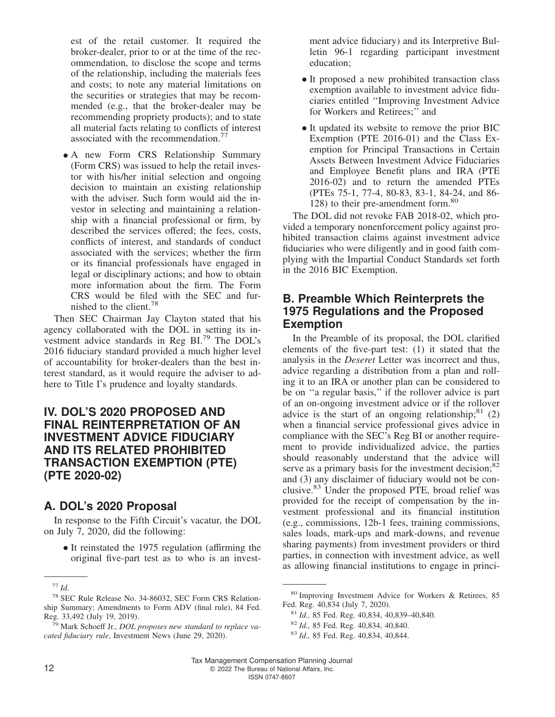est of the retail customer. It required the broker-dealer, prior to or at the time of the recommendation, to disclose the scope and terms of the relationship, including the materials fees and costs; to note any material limitations on the securities or strategies that may be recommended (e.g., that the broker-dealer may be recommending propriety products); and to state all material facts relating to conflicts of interest associated with the recommendation.<sup>77</sup>

• A new Form CRS Relationship Summary (Form CRS) was issued to help the retail investor with his/her initial selection and ongoing decision to maintain an existing relationship with the adviser. Such form would aid the investor in selecting and maintaining a relationship with a financial professional or firm, by described the services offered; the fees, costs, conflicts of interest, and standards of conduct associated with the services; whether the firm or its financial professionals have engaged in legal or disciplinary actions; and how to obtain more information about the firm. The Form CRS would be filed with the SEC and furnished to the client.<sup>78</sup>

Then SEC Chairman Jay Clayton stated that his agency collaborated with the DOL in setting its investment advice standards in Reg BI.<sup>79</sup> The DOL's 2016 fiduciary standard provided a much higher level of accountability for broker-dealers than the best interest standard, as it would require the adviser to adhere to Title I's prudence and loyalty standards.

# **IV. DOL'S 2020 PROPOSED AND FINAL REINTERPRETATION OF AN INVESTMENT ADVICE FIDUCIARY AND ITS RELATED PROHIBITED TRANSACTION EXEMPTION (PTE) (PTE 2020-02)**

# **A. DOL's 2020 Proposal**

In response to the Fifth Circuit's vacatur, the DOL on July 7, 2020, did the following:

• It reinstated the 1975 regulation (affirming the original five-part test as to who is an invest-

ment advice fiduciary) and its Interpretive Bulletin 96-1 regarding participant investment education;

- It proposed a new prohibited transaction class exemption available to investment advice fiduciaries entitled ''Improving Investment Advice for Workers and Retirees;'' and
- It updated its website to remove the prior BIC Exemption (PTE 2016-01) and the Class Exemption for Principal Transactions in Certain Assets Between Investment Advice Fiduciaries and Employee Benefit plans and IRA (PTE 2016-02) and to return the amended PTEs (PTEs 75-1, 77-4, 80-83, 83-1, 84-24, and 86- 128) to their pre-amendment form.<sup>80</sup>

The DOL did not revoke FAB 2018-02, which provided a temporary nonenforcement policy against prohibited transaction claims against investment advice fiduciaries who were diligently and in good faith complying with the Impartial Conduct Standards set forth in the 2016 BIC Exemption.

# **B. Preamble Which Reinterprets the 1975 Regulations and the Proposed Exemption**

In the Preamble of its proposal, the DOL clarified elements of the five-part test: (1) it stated that the analysis in the *Deseret* Letter was incorrect and thus, advice regarding a distribution from a plan and rolling it to an IRA or another plan can be considered to be on ''a regular basis,'' if the rollover advice is part of an on-ongoing investment advice or if the rollover advice is the start of an ongoing relationship;  $81$  (2) when a financial service professional gives advice in compliance with the SEC's Reg BI or another requirement to provide individualized advice, the parties should reasonably understand that the advice will serve as a primary basis for the investment decision;<sup>82</sup> and (3) any disclaimer of fiduciary would not be conclusive.<sup>83</sup> Under the proposed PTE, broad relief was provided for the receipt of compensation by the investment professional and its financial institution (e.g., commissions, 12b-1 fees, training commissions, sales loads, mark-ups and mark-downs, and revenue sharing payments) from investment providers or third parties, in connection with investment advice, as well as allowing financial institutions to engage in princi-

<sup>77</sup> *Id.*

<sup>78</sup> SEC Rule Release No. 34-86032, [SEC Form CRS Relation](https://www.sec.gov/rules/final/2019/34-86032.pdf)[ship Summary; Amendments to Form ADV](https://www.sec.gov/rules/final/2019/34-86032.pdf) (final rule), 84 Fed. Reg. 33,492 (July 19, 2019).

<sup>79</sup> Mark Schoeff Jr., *[DOL proposes new standard to replace va](https://ww.investmentnews.com/labor-department-standar-replace-fiduciary-rule-194596)[cated fiduciary rule](https://ww.investmentnews.com/labor-department-standar-replace-fiduciary-rule-194596)*, Investment News (June 29, 2020).

<sup>80</sup> Improving Investment Advice for Workers & Retirees, 85 Fed. Reg. 40,834 (July 7, 2020).

<sup>81</sup> *Id.,* 85 Fed. Reg. 40,834, 40,839–40,840.

<sup>82</sup> *Id.,* 85 Fed. Reg. 40,834, 40,840.

<sup>83</sup> *Id.,* 85 Fed. Reg. 40,834, 40,844.

Tax Management Compensation Planning Journal 12 **CONSIDER PROPERTY OF A 2022** The Bureau of National Affairs, Inc. ISSN 0747-8607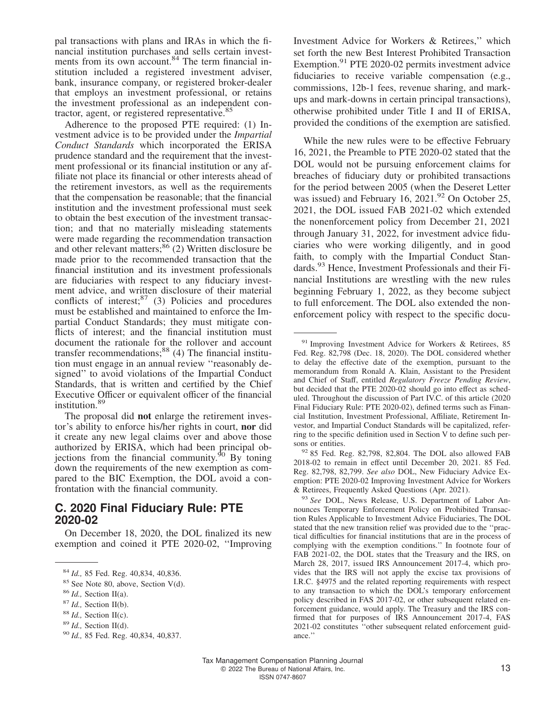pal transactions with plans and IRAs in which the financial institution purchases and sells certain investments from its own account.<sup>84</sup> The term financial institution included a registered investment adviser, bank, insurance company, or registered broker-dealer that employs an investment professional, or retains the investment professional as an independent contractor, agent, or registered representative.<sup>85</sup>

Adherence to the proposed PTE required: (1) Investment advice is to be provided under the *Impartial Conduct Standards* which incorporated the ERISA prudence standard and the requirement that the investment professional or its financial institution or any affiliate not place its financial or other interests ahead of the retirement investors, as well as the requirements that the compensation be reasonable; that the financial institution and the investment professional must seek to obtain the best execution of the investment transaction; and that no materially misleading statements were made regarding the recommendation transaction and other relevant matters; $86$  (2) Written disclosure be made prior to the recommended transaction that the financial institution and its investment professionals are fiduciaries with respect to any fiduciary investment advice, and written disclosure of their material conflicts of interest; $87$  (3) Policies and procedures must be established and maintained to enforce the Impartial Conduct Standards; they must mitigate conflicts of interest; and the financial institution must document the rationale for the rollover and account transfer recommendations;<sup>88</sup> (4) The financial institution must engage in an annual review ''reasonably designed'' to avoid violations of the Impartial Conduct Standards, that is written and certified by the Chief Executive Officer or equivalent officer of the financial institution.<sup>89</sup>

The proposal did **not** enlarge the retirement investor's ability to enforce his/her rights in court, **nor** did it create any new legal claims over and above those authorized by ERISA, which had been principal objections from the financial community. $90\,$  By toning down the requirements of the new exemption as compared to the BIC Exemption, the DOL avoid a confrontation with the financial community.

## **C. 2020 Final Fiduciary Rule: PTE 2020-02**

On December 18, 2020, the DOL finalized its new exemption and coined it PTE 2020-02, ''Improving

<sup>85</sup> See Note 80, above, Section V(d).

Investment Advice for Workers & Retirees,'' which set forth the new Best Interest Prohibited Transaction Exemption.<sup>91</sup> PTE 2020-02 permits investment advice fiduciaries to receive variable compensation (e.g., commissions, 12b-1 fees, revenue sharing, and markups and mark-downs in certain principal transactions), otherwise prohibited under Title I and II of ERISA, provided the conditions of the exemption are satisfied.

While the new rules were to be effective February 16, 2021, the Preamble to PTE 2020-02 stated that the DOL would not be pursuing enforcement claims for breaches of fiduciary duty or prohibited transactions for the period between 2005 (when the Deseret Letter was issued) and February 16,  $2021.<sup>92</sup>$  On October 25. 2021, the DOL issued FAB 2021-02 which extended the nonenforcement policy from December 21, 2021 through January 31, 2022, for investment advice fiduciaries who were working diligently, and in good faith, to comply with the Impartial Conduct Standards.<sup>93</sup> Hence, Investment Professionals and their Financial Institutions are wrestling with the new rules beginning February 1, 2022, as they become subject to full enforcement. The DOL also extended the nonenforcement policy with respect to the specific docu-

<sup>92</sup> 85 Fed. Reg. 82,798, 82,804. The DOL also allowed FAB 2018-02 to remain in effect until December 20, 2021. 85 Fed. Reg. 82,798, 82,799. *See also* DOL, New Fiduciary Advice Exemption: PTE 2020-02 [Improving Investment Advice for Workers](https://www.dol.gov/agencies/ebsa/about-ebsa/our-activities/resource-center/faqs/new-fiduciary-advice-exemption.pdf) [& Retirees,](https://www.dol.gov/agencies/ebsa/about-ebsa/our-activities/resource-center/faqs/new-fiduciary-advice-exemption.pdf) Frequently Asked Questions (Apr. 2021).

<sup>93</sup> *See* DOL, News Release, [U.S. Department of Labor An](https://www.dol.gov/newsroom/releases/ebsa/ebsa20211025)[nounces Temporary Enforcement Policy on Prohibited Transac](https://www.dol.gov/newsroom/releases/ebsa/ebsa20211025)[tion Rules Applicable to Investment Advice Fiduciaries,](https://www.dol.gov/newsroom/releases/ebsa/ebsa20211025) The DOL stated that the new transition relief was provided due to the ''practical difficulties for financial institutions that are in the process of complying with the exemption conditions.'' In footnote four of FAB 2021-02, the DOL states that the Treasury and the IRS, on March 28, 2017, issued IRS Announcement 2017-4, which provides that the IRS will not apply the excise tax provisions of I.R.C. §4975 and the related reporting requirements with respect to any transaction to which the DOL's temporary enforcement policy described in FAS 2017-02, or other subsequent related enforcement guidance, would apply. The Treasury and the IRS confirmed that for purposes of IRS Announcement 2017-4, FAS 2021-02 constitutes ''other subsequent related enforcement guidance.''

<sup>84</sup> *Id.,* 85 Fed. Reg. 40,834, 40,836.

<sup>86</sup> *Id.,* Section II(a).

<sup>87</sup> *Id.,* Section II(b).

<sup>88</sup> *Id.,* Section II(c).

<sup>89</sup> *Id.,* Section II(d).

<sup>90</sup> *Id.,* 85 Fed. Reg. 40,834, 40,837.

<sup>91</sup> Improving Investment Advice for Workers & Retirees, 85 Fed. Reg. 82,798 (Dec. 18, 2020). The DOL considered whether to delay the effective date of the exemption, pursuant to the memorandum from Ronald A. Klain, Assistant to the President and Chief of Staff, entitled *Regulatory Freeze Pending Review*, but decided that the PTE 2020-02 should go into effect as scheduled. Throughout the discussion of Part IV.C. of this article (2020 Final Fiduciary Rule: PTE 2020-02), defined terms such as Financial Institution, Investment Professional, Affiliate, Retirement Investor, and Impartial Conduct Standards will be capitalized, referring to the specific definition used in Section V to define such persons or entities.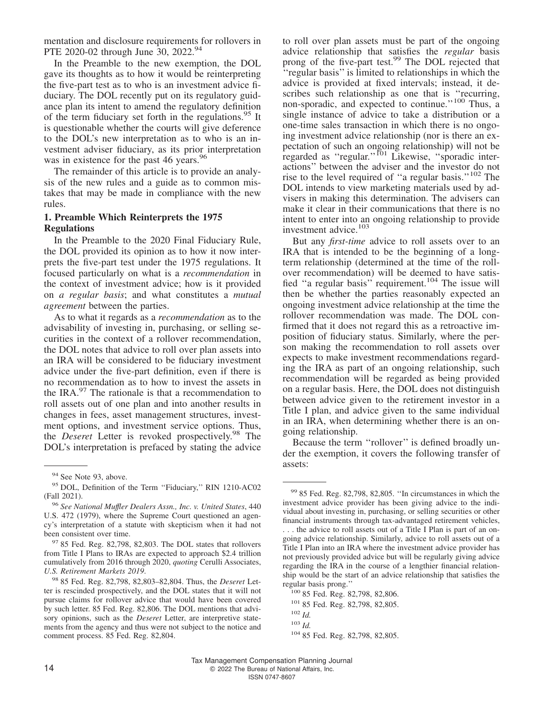mentation and disclosure requirements for rollovers in PTE 2020-02 through June 30, 2022.<sup>94</sup>

In the Preamble to the new exemption, the DOL gave its thoughts as to how it would be reinterpreting the five-part test as to who is an investment advice fiduciary. The DOL recently put on its regulatory guidance plan its intent to amend the regulatory definition of the term fiduciary set forth in the regulations.<sup>95</sup> It is questionable whether the courts will give deference to the DOL's new interpretation as to who is an investment adviser fiduciary, as its prior interpretation was in existence for the past 46 years.<sup>96</sup>

The remainder of this article is to provide an analysis of the new rules and a guide as to common mistakes that may be made in compliance with the new rules.

#### **1. Preamble Which Reinterprets the 1975 Regulations**

In the Preamble to the 2020 Final Fiduciary Rule, the DOL provided its opinion as to how it now interprets the five-part test under the 1975 regulations. It focused particularly on what is a *recommendation* in the context of investment advice; how is it provided on *a regular basis*; and what constitutes a *mutual agreement* between the parties.

As to what it regards as a *recommendation* as to the advisability of investing in, purchasing, or selling securities in the context of a rollover recommendation, the DOL notes that advice to roll over plan assets into an IRA will be considered to be fiduciary investment advice under the five-part definition, even if there is no recommendation as to how to invest the assets in the IRA.<sup>97</sup> The rationale is that a recommendation to roll assets out of one plan and into another results in changes in fees, asset management structures, investment options, and investment service options. Thus, the *Deseret* Letter is revoked prospectively.<sup>98</sup> The DOL's interpretation is prefaced by stating the advice

<sup>97</sup> 85 Fed. Reg. 82,798, 82,803. The DOL states that rollovers from Title I Plans to IRAs are expected to approach \$2.4 trillion cumulatively from 2016 through 2020, *quoting* Cerulli Associates, *U.S. Retirement Markets 2019*.

to roll over plan assets must be part of the ongoing advice relationship that satisfies the *regular* basis prong of the five-part test.<sup>99</sup> The DOL rejected that ''regular basis'' is limited to relationships in which the advice is provided at fixed intervals; instead, it describes such relationship as one that is "recurring, non-sporadic, and expected to continue.''<sup>100</sup> Thus, a single instance of advice to take a distribution or a one-time sales transaction in which there is no ongoing investment advice relationship (nor is there an expectation of such an ongoing relationship) will not be regarded as "regular."<sup>101</sup> Likewise, "sporadic interactions'' between the adviser and the investor do not rise to the level required of ''a regular basis.''<sup>102</sup> The DOL intends to view marketing materials used by advisers in making this determination. The advisers can make it clear in their communications that there is no intent to enter into an ongoing relationship to provide investment advice.<sup>103</sup>

But any *first-time* advice to roll assets over to an IRA that is intended to be the beginning of a longterm relationship (determined at the time of the rollover recommendation) will be deemed to have satisfied "a regular basis" requirement.<sup>104</sup> The issue will then be whether the parties reasonably expected an ongoing investment advice relationship at the time the rollover recommendation was made. The DOL confirmed that it does not regard this as a retroactive imposition of fiduciary status. Similarly, where the person making the recommendation to roll assets over expects to make investment recommendations regarding the IRA as part of an ongoing relationship, such recommendation will be regarded as being provided on a regular basis. Here, the DOL does not distinguish between advice given to the retirement investor in a Title I plan, and advice given to the same individual in an IRA, when determining whether there is an ongoing relationship.

Because the term ''rollover'' is defined broadly under the exemption, it covers the following transfer of assets:

<sup>101</sup> 85 Fed. Reg. 82,798, 82,805.

<sup>&</sup>lt;sup>94</sup> See Note 93, above.

<sup>95</sup> DOL, [Definition of the Term ''Fiduciary,''](https://www.reginfo.gov/public/do/eAgendaViewRule?pubId=202110&RIN=1210-AC02) RIN 1210-AC02 (Fall 2021).

<sup>96</sup> *See National Muffler Dealers Assn., Inc. v. United States*, 440 U.S. 472 (1979), where the Supreme Court questioned an agency's interpretation of a statute with skepticism when it had not been consistent over time.

<sup>98</sup> 85 Fed. Reg. 82,798, 82,803–82,804. Thus, the *Deseret* Letter is rescinded prospectively, and the DOL states that it will not pursue claims for rollover advice that would have been covered by such letter. 85 Fed. Reg. 82,806. The DOL mentions that advisory opinions, such as the *Deseret* Letter, are interpretive statements from the agency and thus were not subject to the notice and comment process. 85 Fed. Reg. 82,804.

<sup>99</sup> 85 Fed. Reg. 82,798, 82,805. ''In circumstances in which the investment advice provider has been giving advice to the individual about investing in, purchasing, or selling securities or other financial instruments through tax-advantaged retirement vehicles, . . . the advice to roll assets out of a Title I Plan is part of an ongoing advice relationship. Similarly, advice to roll assets out of a Title I Plan into an IRA where the investment advice provider has not previously provided advice but will be regularly giving advice regarding the IRA in the course of a lengthier financial relationship would be the start of an advice relationship that satisfies the regular basis prong.''

<sup>100</sup> 85 Fed. Reg. 82,798, 82,806.

<sup>102</sup> *Id.*

<sup>103</sup> *Id.*

<sup>104</sup> 85 Fed. Reg. 82,798, 82,805.

Tax Management Compensation Planning Journal 14 **2022** The Bureau of National Affairs, Inc. ISSN 0747-8607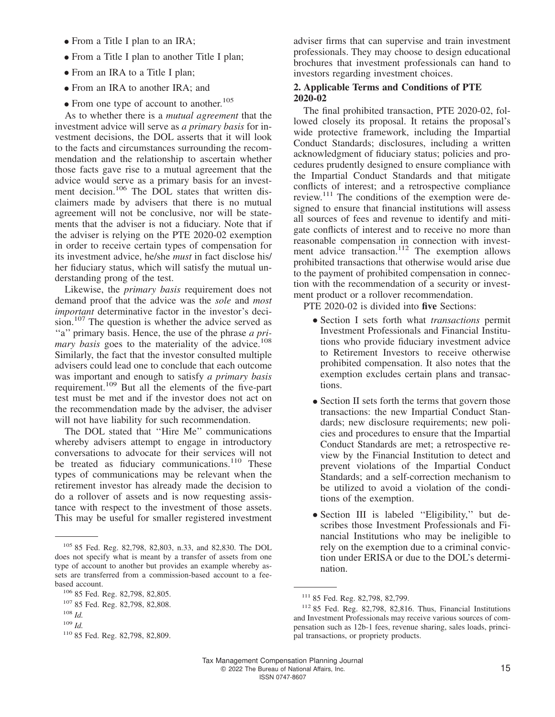- From a Title I plan to an IRA;
- From a Title I plan to another Title I plan;
- From an IRA to a Title I plan;
- From an IRA to another IRA; and
- From one type of account to another.<sup>105</sup>

As to whether there is a *mutual agreement* that the investment advice will serve as *a primary basis* for investment decisions, the DOL asserts that it will look to the facts and circumstances surrounding the recommendation and the relationship to ascertain whether those facts gave rise to a mutual agreement that the advice would serve as a primary basis for an investment decision.<sup>106</sup> The DOL states that written disclaimers made by advisers that there is no mutual agreement will not be conclusive, nor will be statements that the adviser is not a fiduciary. Note that if the adviser is relying on the PTE 2020-02 exemption in order to receive certain types of compensation for its investment advice, he/she *must* in fact disclose his/ her fiduciary status, which will satisfy the mutual understanding prong of the test.

Likewise, the *primary basis* requirement does not demand proof that the advice was the *sole* and *most important* determinative factor in the investor's decision.<sup>107</sup> The question is whether the advice served as ''a'' primary basis. Hence, the use of the phrase *a primary basis* goes to the materiality of the advice.<sup>108</sup> Similarly, the fact that the investor consulted multiple advisers could lead one to conclude that each outcome was important and enough to satisfy *a primary basis* requirement.<sup>109</sup> But all the elements of the five-part test must be met and if the investor does not act on the recommendation made by the adviser, the adviser will not have liability for such recommendation.

The DOL stated that ''Hire Me'' communications whereby advisers attempt to engage in introductory conversations to advocate for their services will not be treated as fiduciary communications.<sup>110</sup> These types of communications may be relevant when the retirement investor has already made the decision to do a rollover of assets and is now requesting assistance with respect to the investment of those assets. This may be useful for smaller registered investment

adviser firms that can supervise and train investment professionals. They may choose to design educational brochures that investment professionals can hand to investors regarding investment choices.

#### **2. Applicable Terms and Conditions of PTE 2020-02**

The final prohibited transaction, PTE 2020-02, followed closely its proposal. It retains the proposal's wide protective framework, including the Impartial Conduct Standards; disclosures, including a written acknowledgment of fiduciary status; policies and procedures prudently designed to ensure compliance with the Impartial Conduct Standards and that mitigate conflicts of interest; and a retrospective compliance review.<sup>111</sup> The conditions of the exemption were designed to ensure that financial institutions will assess all sources of fees and revenue to identify and mitigate conflicts of interest and to receive no more than reasonable compensation in connection with investment advice transaction.<sup>112</sup> The exemption allows prohibited transactions that otherwise would arise due to the payment of prohibited compensation in connection with the recommendation of a security or investment product or a rollover recommendation.

PTE 2020-02 is divided into **five** Sections:

- Section I sets forth what *transactions* permit Investment Professionals and Financial Institutions who provide fiduciary investment advice to Retirement Investors to receive otherwise prohibited compensation. It also notes that the exemption excludes certain plans and transactions.
- Section II sets forth the terms that govern those transactions: the new Impartial Conduct Standards; new disclosure requirements; new policies and procedures to ensure that the Impartial Conduct Standards are met; a retrospective review by the Financial Institution to detect and prevent violations of the Impartial Conduct Standards; and a self-correction mechanism to be utilized to avoid a violation of the conditions of the exemption.
- Section III is labeled ''Eligibility,'' but describes those Investment Professionals and Financial Institutions who may be ineligible to rely on the exemption due to a criminal conviction under ERISA or due to the DOL's determination.

<sup>105</sup> 85 Fed. Reg. 82,798, 82,803, n.33, and 82,830. The DOL does not specify what is meant by a transfer of assets from one type of account to another but provides an example whereby assets are transferred from a commission-based account to a feebased account.

<sup>106</sup> 85 Fed. Reg. 82,798, 82,805.

<sup>107</sup> 85 Fed. Reg. 82,798, 82,808.

<sup>108</sup> *Id.*

<sup>109</sup> *Id.*

<sup>110</sup> 85 Fed. Reg. 82,798, 82,809.

<sup>111</sup> 85 Fed. Reg. 82,798, 82,799.

<sup>112</sup> 85 Fed. Reg. 82,798, 82,816. Thus, Financial Institutions and Investment Professionals may receive various sources of compensation such as 12b-1 fees, revenue sharing, sales loads, principal transactions, or propriety products.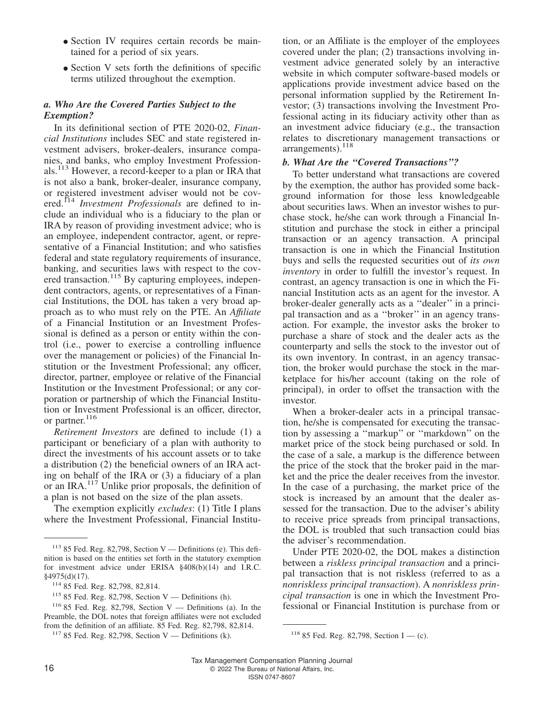- Section IV requires certain records be maintained for a period of six years.
- Section V sets forth the definitions of specific terms utilized throughout the exemption.

#### *a. Who Are the Covered Parties Subject to the Exemption?*

In its definitional section of PTE 2020-02, *Financial Institutions* includes SEC and state registered investment advisers, broker-dealers, insurance companies, and banks, who employ Investment Professionals.<sup>113</sup> However, a record-keeper to a plan or IRA that is not also a bank, broker-dealer, insurance company, or registered investment adviser would not be covered.<sup>114</sup> *Investment Professionals* are defined to include an individual who is a fiduciary to the plan or IRA by reason of providing investment advice; who is an employee, independent contractor, agent, or representative of a Financial Institution; and who satisfies federal and state regulatory requirements of insurance, banking, and securities laws with respect to the covered transaction.<sup>115</sup> By capturing employees, independent contractors, agents, or representatives of a Financial Institutions, the DOL has taken a very broad approach as to who must rely on the PTE. An *Affıliate* of a Financial Institution or an Investment Professional is defined as a person or entity within the control (i.e., power to exercise a controlling influence over the management or policies) of the Financial Institution or the Investment Professional; any officer, director, partner, employee or relative of the Financial Institution or the Investment Professional; or any corporation or partnership of which the Financial Institution or Investment Professional is an officer, director, or partner.<sup>116</sup>

*Retirement Investors* are defined to include (1) a participant or beneficiary of a plan with authority to direct the investments of his account assets or to take a distribution (2) the beneficial owners of an IRA acting on behalf of the IRA or (3) a fiduciary of a plan or an IRA.<sup>117</sup> Unlike prior proposals, the definition of a plan is not based on the size of the plan assets.

The exemption explicitly *excludes*: (1) Title I plans where the Investment Professional, Financial Institution, or an Affiliate is the employer of the employees covered under the plan; (2) transactions involving investment advice generated solely by an interactive website in which computer software-based models or applications provide investment advice based on the personal information supplied by the Retirement Investor; (3) transactions involving the Investment Professional acting in its fiduciary activity other than as an investment advice fiduciary (e.g., the transaction relates to discretionary management transactions or arrangements).<sup>118</sup>

#### *b. What Are the ''Covered Transactions''?*

To better understand what transactions are covered by the exemption, the author has provided some background information for those less knowledgeable about securities laws. When an investor wishes to purchase stock, he/she can work through a Financial Institution and purchase the stock in either a principal transaction or an agency transaction. A principal transaction is one in which the Financial Institution buys and sells the requested securities out of *its own inventory* in order to fulfill the investor's request. In contrast, an agency transaction is one in which the Financial Institution acts as an agent for the investor. A broker-dealer generally acts as a ''dealer'' in a principal transaction and as a ''broker'' in an agency transaction. For example, the investor asks the broker to purchase a share of stock and the dealer acts as the counterparty and sells the stock to the investor out of its own inventory. In contrast, in an agency transaction, the broker would purchase the stock in the marketplace for his/her account (taking on the role of principal), in order to offset the transaction with the investor.

When a broker-dealer acts in a principal transaction, he/she is compensated for executing the transaction by assessing a ''markup'' or ''markdown'' on the market price of the stock being purchased or sold. In the case of a sale, a markup is the difference between the price of the stock that the broker paid in the market and the price the dealer receives from the investor. In the case of a purchasing, the market price of the stock is increased by an amount that the dealer assessed for the transaction. Due to the adviser's ability to receive price spreads from principal transactions, the DOL is troubled that such transaction could bias the adviser's recommendation.

Under PTE 2020-02, the DOL makes a distinction between a *riskless principal transaction* and a principal transaction that is not riskless (referred to as a *nonriskless principal transaction*). A *nonriskless principal transaction* is one in which the Investment Professional or Financial Institution is purchase from or

 $113$  85 Fed. Reg. 82,798, Section V — Definitions (e). This definition is based on the entities set forth in the statutory exemption for investment advice under ERISA §408(b)(14) and I.R.C. §4975(d)(17).

<sup>114</sup> 85 Fed. Reg. 82,798, 82,814.

 $115$  85 Fed. Reg. 82,798, Section V — Definitions (h).

 $116$  85 Fed. Reg. 82,798, Section V — Definitions (a). In the Preamble, the DOL notes that foreign affiliates were not excluded from the definition of an affiliate. 85 Fed. Reg. 82,798, 82,814.

<sup>&</sup>lt;sup>117</sup> 85 Fed. Reg. 82,798, Section V — Definitions (k). <sup>118</sup> 85 Fed. Reg. 82,798, Section I — (c).

Tax Management Compensation Planning Journal 16 **COLLET 16** COLLET 12022 The Bureau of National Affairs, Inc.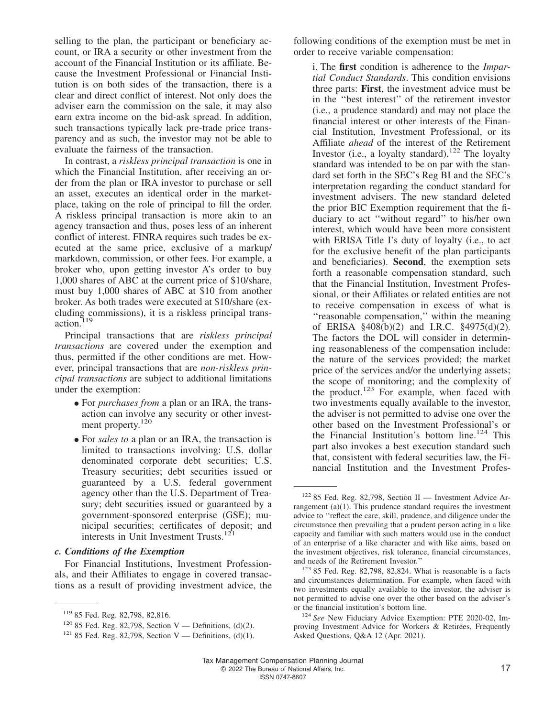selling to the plan, the participant or beneficiary account, or IRA a security or other investment from the account of the Financial Institution or its affiliate. Because the Investment Professional or Financial Institution is on both sides of the transaction, there is a clear and direct conflict of interest. Not only does the adviser earn the commission on the sale, it may also earn extra income on the bid-ask spread. In addition, such transactions typically lack pre-trade price transparency and as such, the investor may not be able to evaluate the fairness of the transaction.

In contrast, a *riskless principal transaction* is one in which the Financial Institution, after receiving an order from the plan or IRA investor to purchase or sell an asset, executes an identical order in the marketplace, taking on the role of principal to fill the order. A riskless principal transaction is more akin to an agency transaction and thus, poses less of an inherent conflict of interest. FINRA requires such trades be executed at the same price, exclusive of a markup/ markdown, commission, or other fees. For example, a broker who, upon getting investor A's order to buy 1,000 shares of ABC at the current price of \$10/share, must buy 1,000 shares of ABC at \$10 from another broker. As both trades were executed at \$10/share (excluding commissions), it is a riskless principal transaction.<sup>1</sup>

Principal transactions that are *riskless principal transactions* are covered under the exemption and thus, permitted if the other conditions are met. However, principal transactions that are *non-riskless principal transactions* are subject to additional limitations under the exemption:

- For *purchases from* a plan or an IRA, the transaction can involve any security or other investment property.<sup>120</sup>
- For *sales to* a plan or an IRA, the transaction is limited to transactions involving: U.S. dollar denominated corporate debt securities; U.S. Treasury securities; debt securities issued or guaranteed by a U.S. federal government agency other than the U.S. Department of Treasury; debt securities issued or guaranteed by a government-sponsored enterprise (GSE); municipal securities; certificates of deposit; and interests in Unit Investment Trusts.<sup>121</sup>

#### *c. Conditions of the Exemption*

For Financial Institutions, Investment Professionals, and their Affiliates to engage in covered transactions as a result of providing investment advice, the following conditions of the exemption must be met in order to receive variable compensation:

i. The **first** condition is adherence to the *Impartial Conduct Standards*. This condition envisions three parts: **First**, the investment advice must be in the ''best interest'' of the retirement investor (i.e., a prudence standard) and may not place the financial interest or other interests of the Financial Institution, Investment Professional, or its Affiliate *ahead* of the interest of the Retirement Investor (i.e., a loyalty standard).<sup>122</sup> The loyalty standard was intended to be on par with the standard set forth in the SEC's Reg BI and the SEC's interpretation regarding the conduct standard for investment advisers. The new standard deleted the prior BIC Exemption requirement that the fiduciary to act ''without regard'' to his/her own interest, which would have been more consistent with ERISA Title I's duty of loyalty (i.e., to act for the exclusive benefit of the plan participants and beneficiaries). **Second**, the exemption sets forth a reasonable compensation standard, such that the Financial Institution, Investment Professional, or their Affiliates or related entities are not to receive compensation in excess of what is ''reasonable compensation,'' within the meaning of ERISA §408(b)(2) and I.R.C. §4975(d)(2). The factors the DOL will consider in determining reasonableness of the compensation include: the nature of the services provided; the market price of the services and/or the underlying assets; the scope of monitoring; and the complexity of the product. $123$  For example, when faced with two investments equally available to the investor, the adviser is not permitted to advise one over the other based on the Investment Professional's or the Financial Institution's bottom line.<sup>124</sup> This part also invokes a best execution standard such that, consistent with federal securities law, the Financial Institution and the Investment Profes-

<sup>119</sup> 85 Fed. Reg. 82,798, 82,816.

<sup>&</sup>lt;sup>120</sup> 85 Fed. Reg. 82,798, Section V — Definitions, (d)(2).

<sup>&</sup>lt;sup>121</sup> 85 Fed. Reg. 82,798, Section V — Definitions,  $(d)(1)$ .

<sup>122</sup> 85 Fed. Reg. 82,798, Section II — Investment Advice Arrangement (a)(1). This prudence standard requires the investment advice to ''reflect the care, skill, prudence, and diligence under the circumstance then prevailing that a prudent person acting in a like capacity and familiar with such matters would use in the conduct of an enterprise of a like character and with like aims, based on the investment objectives, risk tolerance, financial circumstances, and needs of the Retirement Investor.''

 $123$  85 Fed. Reg. 82,798, 82,824. What is reasonable is a facts and circumstances determination. For example, when faced with two investments equally available to the investor, the adviser is not permitted to advise one over the other based on the adviser's or the financial institution's bottom line.

<sup>124</sup> *See* [New Fiduciary Advice Exemption: PTE 2020-02, Im](https://www.dol.gov/agencies/ebsa/about-ebsa/our-activities/resource-center/faqs/new-fiduciary-advice-exemption)[proving Investment Advice for Workers & Retirees,](https://www.dol.gov/agencies/ebsa/about-ebsa/our-activities/resource-center/faqs/new-fiduciary-advice-exemption) Frequently Asked Questions, Q&A 12 (Apr. 2021).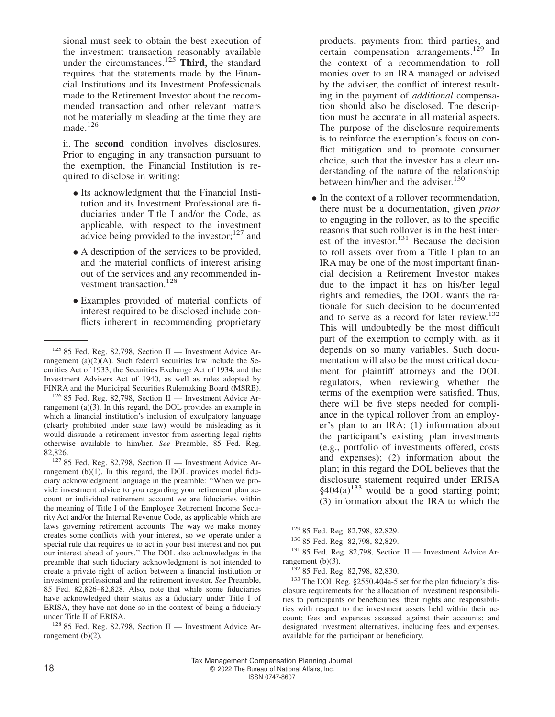sional must seek to obtain the best execution of the investment transaction reasonably available under the circumstances.<sup>125</sup> **Third,** the standard requires that the statements made by the Financial Institutions and its Investment Professionals made to the Retirement Investor about the recommended transaction and other relevant matters not be materially misleading at the time they are made.<sup>126</sup>

ii. The **second** condition involves disclosures. Prior to engaging in any transaction pursuant to the exemption, the Financial Institution is required to disclose in writing:

- Its acknowledgment that the Financial Institution and its Investment Professional are fiduciaries under Title I and/or the Code, as applicable, with respect to the investment advice being provided to the investor; $127$  and
- A description of the services to be provided, and the material conflicts of interest arising out of the services and any recommended investment transaction.<sup>128</sup>
- Examples provided of material conflicts of interest required to be disclosed include conflicts inherent in recommending proprietary

<sup>126</sup> 85 Fed. Reg. 82,798, Section II — Investment Advice Arrangement (a)(3). In this regard, the DOL provides an example in which a financial institution's inclusion of exculpatory language (clearly prohibited under state law) would be misleading as it would dissuade a retirement investor from asserting legal rights otherwise available to him/her. *See* Preamble, 85 Fed. Reg. 82,826.

<sup>127</sup> 85 Fed. Reg. 82,798, Section II — Investment Advice Arrangement (b)(1). In this regard, the DOL provides model fiduciary acknowledgment language in the preamble: ''When we provide investment advice to you regarding your retirement plan account or individual retirement account we are fiduciaries within the meaning of Title I of the Employee Retirement Income Security Act and/or the Internal Revenue Code, as applicable which are laws governing retirement accounts. The way we make money creates some conflicts with your interest, so we operate under a special rule that requires us to act in your best interest and not put our interest ahead of yours.'' The DOL also acknowledges in the preamble that such fiduciary acknowledgment is not intended to create a private right of action between a financial institution or investment professional and the retirement investor. *See* Preamble, 85 Fed. 82,826–82,828. Also, note that while some fiduciaries have acknowledged their status as a fiduciary under Title I of ERISA, they have not done so in the context of being a fiduciary under Title II of ERISA.

<sup>128</sup> 85 Fed. Reg. 82,798, Section II — Investment Advice Arrangement (b)(2).

products, payments from third parties, and certain compensation arrangements.<sup>129</sup> In the context of a recommendation to roll monies over to an IRA managed or advised by the adviser, the conflict of interest resulting in the payment of *additional* compensation should also be disclosed. The description must be accurate in all material aspects. The purpose of the disclosure requirements is to reinforce the exemption's focus on conflict mitigation and to promote consumer choice, such that the investor has a clear understanding of the nature of the relationship between him/her and the adviser.<sup>130</sup>

• In the context of a rollover recommendation, there must be a documentation, given *prior* to engaging in the rollover, as to the specific reasons that such rollover is in the best interest of the investor. $131$  Because the decision to roll assets over from a Title I plan to an IRA may be one of the most important financial decision a Retirement Investor makes due to the impact it has on his/her legal rights and remedies, the DOL wants the rationale for such decision to be documented and to serve as a record for later review.<sup>132</sup> This will undoubtedly be the most difficult part of the exemption to comply with, as it depends on so many variables. Such documentation will also be the most critical document for plaintiff attorneys and the DOL regulators, when reviewing whether the terms of the exemption were satisfied. Thus, there will be five steps needed for compliance in the typical rollover from an employer's plan to an IRA: (1) information about the participant's existing plan investments (e.g., portfolio of investments offered, costs and expenses); (2) information about the plan; in this regard the DOL believes that the disclosure statement required under ERISA  $§404(a)$ <sup>133</sup> would be a good starting point; (3) information about the IRA to which the

<sup>133</sup> The DOL Reg. §2550.404a-5 set for the plan fiduciary's disclosure requirements for the allocation of investment responsibilities to participants or beneficiaries: their rights and responsibilities with respect to the investment assets held within their account; fees and expenses assessed against their accounts; and designated investment alternatives, including fees and expenses, available for the participant or beneficiary.

 $125$  85 Fed. Reg. 82,798, Section II — Investment Advice Arrangement (a)(2)(A). Such federal securities law include the Securities Act of 1933, the Securities Exchange Act of 1934, and the Investment Advisers Act of 1940, as well as rules adopted by FINRA and the Municipal Securities Rulemaking Board (MSRB).

<sup>129</sup> 85 Fed. Reg. 82,798, 82,829.

<sup>130</sup> 85 Fed. Reg. 82,798, 82,829.

 $131$  85 Fed. Reg. 82,798, Section II — Investment Advice Arrangement  $(b)(3)$ .

<sup>132</sup> 85 Fed. Reg. 82,798, 82,830.

Tax Management Compensation Planning Journal 18 **COLLECT** COLLECT CONTROLLER CONTROLLER CONTROLLER CONTROLLER CONTROLLER CONTROLLER CONTROLLER CONTROLLER CONTROLLER CONTROLLER CONTROLLER CONTROLLER CONTROLLER CONTROLLER CONTROLLER CONTROLLER CONTROLLER CONTROLLER CON ISSN 0747-8607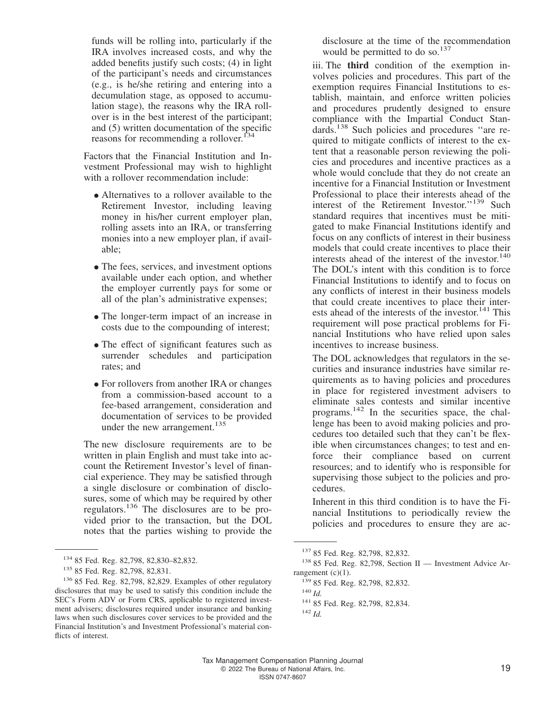funds will be rolling into, particularly if the IRA involves increased costs, and why the added benefits justify such costs; (4) in light of the participant's needs and circumstances (e.g., is he/she retiring and entering into a decumulation stage, as opposed to accumulation stage), the reasons why the IRA rollover is in the best interest of the participant; and (5) written documentation of the specific reasons for recommending a rollover.<sup>134</sup>

Factors that the Financial Institution and Investment Professional may wish to highlight with a rollover recommendation include:

- Alternatives to a rollover available to the Retirement Investor, including leaving money in his/her current employer plan, rolling assets into an IRA, or transferring monies into a new employer plan, if available;
- The fees, services, and investment options available under each option, and whether the employer currently pays for some or all of the plan's administrative expenses;
- The longer-term impact of an increase in costs due to the compounding of interest;
- The effect of significant features such as surrender schedules and participation rates; and
- For rollovers from another IRA or changes from a commission-based account to a fee-based arrangement, consideration and documentation of services to be provided under the new arrangement.<sup>135</sup>

The new disclosure requirements are to be written in plain English and must take into account the Retirement Investor's level of financial experience. They may be satisfied through a single disclosure or combination of disclosures, some of which may be required by other regulators.<sup>136</sup> The disclosures are to be provided prior to the transaction, but the DOL notes that the parties wishing to provide the

disclosure at the time of the recommendation would be permitted to do so. $^{137}$ 

iii. The **third** condition of the exemption involves policies and procedures. This part of the exemption requires Financial Institutions to establish, maintain, and enforce written policies and procedures prudently designed to ensure compliance with the Impartial Conduct Standards.<sup>138</sup> Such policies and procedures ''are required to mitigate conflicts of interest to the extent that a reasonable person reviewing the policies and procedures and incentive practices as a whole would conclude that they do not create an incentive for a Financial Institution or Investment Professional to place their interests ahead of the interest of the Retirement Investor."<sup>139</sup> Such standard requires that incentives must be mitigated to make Financial Institutions identify and focus on any conflicts of interest in their business models that could create incentives to place their interests ahead of the interest of the investor.<sup>140</sup> The DOL's intent with this condition is to force Financial Institutions to identify and to focus on any conflicts of interest in their business models that could create incentives to place their interests ahead of the interests of the investor. $141$  This requirement will pose practical problems for Financial Institutions who have relied upon sales incentives to increase business.

The DOL acknowledges that regulators in the securities and insurance industries have similar requirements as to having policies and procedures in place for registered investment advisers to eliminate sales contests and similar incentive programs.<sup>142</sup> In the securities space, the challenge has been to avoid making policies and procedures too detailed such that they can't be flexible when circumstances changes; to test and enforce their compliance based on current resources; and to identify who is responsible for supervising those subject to the policies and procedures.

Inherent in this third condition is to have the Financial Institutions to periodically review the policies and procedures to ensure they are ac-

<sup>134</sup> 85 Fed. Reg. 82,798, 82,830–82,832.

<sup>135</sup> 85 Fed. Reg. 82,798, 82,831.

<sup>&</sup>lt;sup>136</sup> 85 Fed. Reg. 82,798, 82,829. Examples of other regulatory disclosures that may be used to satisfy this condition include the SEC's Form ADV or Form CRS, applicable to registered investment advisers; disclosures required under insurance and banking laws when such disclosures cover services to be provided and the Financial Institution's and Investment Professional's material conflicts of interest.

<sup>137</sup> 85 Fed. Reg. 82,798, 82,832.

<sup>138</sup> 85 Fed. Reg. 82,798, Section II — Investment Advice Arrangement  $(c)(1)$ .

<sup>139</sup> 85 Fed. Reg. 82,798, 82,832.

<sup>140</sup> *Id.*

<sup>141</sup> 85 Fed. Reg. 82,798, 82,834.

<sup>142</sup> *Id.*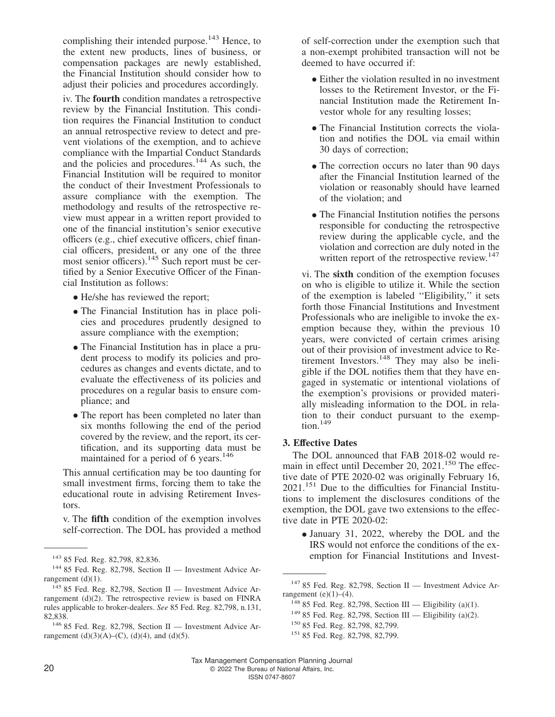complishing their intended purpose.<sup>143</sup> Hence, to the extent new products, lines of business, or compensation packages are newly established, the Financial Institution should consider how to adjust their policies and procedures accordingly.

iv. The **fourth** condition mandates a retrospective review by the Financial Institution. This condition requires the Financial Institution to conduct an annual retrospective review to detect and prevent violations of the exemption, and to achieve compliance with the Impartial Conduct Standards and the policies and procedures.<sup>144</sup> As such, the Financial Institution will be required to monitor the conduct of their Investment Professionals to assure compliance with the exemption. The methodology and results of the retrospective review must appear in a written report provided to one of the financial institution's senior executive officers (e.g., chief executive officers, chief financial officers, president, or any one of the three most senior officers).<sup>145</sup> Such report must be certified by a Senior Executive Officer of the Financial Institution as follows:

- He/she has reviewed the report;
- The Financial Institution has in place policies and procedures prudently designed to assure compliance with the exemption;
- The Financial Institution has in place a prudent process to modify its policies and procedures as changes and events dictate, and to evaluate the effectiveness of its policies and procedures on a regular basis to ensure compliance; and
- The report has been completed no later than six months following the end of the period covered by the review, and the report, its certification, and its supporting data must be maintained for a period of 6 years.<sup>146</sup>

This annual certification may be too daunting for small investment firms, forcing them to take the educational route in advising Retirement Investors.

v. The **fifth** condition of the exemption involves self-correction. The DOL has provided a method of self-correction under the exemption such that a non-exempt prohibited transaction will not be deemed to have occurred if:

- Either the violation resulted in no investment losses to the Retirement Investor, or the Financial Institution made the Retirement Investor whole for any resulting losses;
- The Financial Institution corrects the violation and notifies the DOL via email within 30 days of correction;
- The correction occurs no later than 90 days after the Financial Institution learned of the violation or reasonably should have learned of the violation; and
- The Financial Institution notifies the persons responsible for conducting the retrospective review during the applicable cycle, and the violation and correction are duly noted in the written report of the retrospective review.<sup>147</sup>

vi. The **sixth** condition of the exemption focuses on who is eligible to utilize it. While the section of the exemption is labeled ''Eligibility,'' it sets forth those Financial Institutions and Investment Professionals who are ineligible to invoke the exemption because they, within the previous 10 years, were convicted of certain crimes arising out of their provision of investment advice to Retirement Investors.<sup>148</sup> They may also be ineligible if the DOL notifies them that they have engaged in systematic or intentional violations of the exemption's provisions or provided materially misleading information to the DOL in relation to their conduct pursuant to the exemp $t$ <sub>ion.</sub> $149$ 

#### **3. Effective Dates**

The DOL announced that FAB 2018-02 would remain in effect until December 20, 2021.<sup>150</sup> The effective date of PTE 2020-02 was originally February 16, 2021.<sup>151</sup> Due to the difficulties for Financial Institutions to implement the disclosures conditions of the exemption, the DOL gave two extensions to the effective date in PTE 2020-02:

• January 31, 2022, whereby the DOL and the IRS would not enforce the conditions of the ex-<sup>143</sup> 85 Fed. Reg. 82,798, 82,836. emption for Financial Institutions and Invest-

<sup>144</sup> 85 Fed. Reg. 82,798, Section II — Investment Advice Arrangement (d)(1).

<sup>&</sup>lt;sup>145</sup> 85 Fed. Reg. 82,798, Section II — Investment Advice Arrangement (d)(2). The retrospective review is based on FINRA rules applicable to broker-dealers. *See* 85 Fed. Reg. 82,798, n.131, 82,838.

<sup>&</sup>lt;sup>146</sup> 85 Fed. Reg. 82,798, Section II — Investment Advice Arrangement (d)(3)(A)–(C), (d)(4), and (d)(5).

 $147$  85 Fed. Reg. 82,798, Section II — Investment Advice Arrangement  $(e)(1)$ – $(4)$ .

<sup>&</sup>lt;sup>148</sup> 85 Fed. Reg. 82,798, Section III — Eligibility (a)(1).

 $149$  85 Fed. Reg. 82,798, Section III — Eligibility (a)(2).

<sup>150</sup> 85 Fed. Reg. 82,798, 82,799.

<sup>151</sup> 85 Fed. Reg. 82,798, 82,799.

Tax Management Compensation Planning Journal 20 2022 The Bureau of National Affairs, Inc.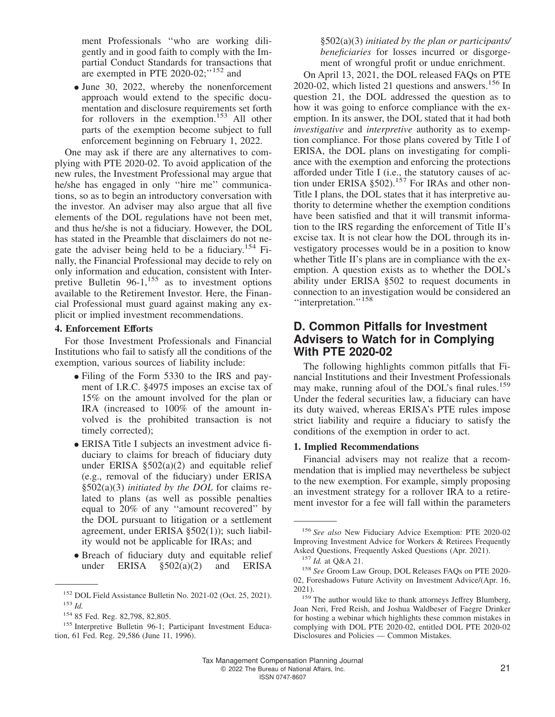ment Professionals ''who are working diligently and in good faith to comply with the Impartial Conduct Standards for transactions that are exempted in PTE 2020-02;"<sup>152</sup> and

• June 30, 2022, whereby the nonenforcement approach would extend to the specific documentation and disclosure requirements set forth for rollovers in the exemption.<sup>153</sup> All other parts of the exemption become subject to full enforcement beginning on February 1, 2022.

One may ask if there are any alternatives to complying with PTE 2020-02. To avoid application of the new rules, the Investment Professional may argue that he/she has engaged in only ''hire me'' communications, so as to begin an introductory conversation with the investor. An adviser may also argue that all five elements of the DOL regulations have not been met, and thus he/she is not a fiduciary. However, the DOL has stated in the Preamble that disclaimers do not negate the adviser being held to be a fiduciary.<sup>154</sup> Finally, the Financial Professional may decide to rely on only information and education, consistent with Interpretive Bulletin  $96-1,155$  as to investment options available to the Retirement Investor. Here, the Financial Professional must guard against making any explicit or implied investment recommendations.

#### **4. Enforcement Efforts**

For those Investment Professionals and Financial Institutions who fail to satisfy all the conditions of the exemption, various sources of liability include:

- Filing of the Form 5330 to the IRS and payment of I.R.C. §4975 imposes an excise tax of 15% on the amount involved for the plan or IRA (increased to 100% of the amount involved is the prohibited transaction is not timely corrected);
- ERISA Title I subjects an investment advice fiduciary to claims for breach of fiduciary duty under ERISA §502(a)(2) and equitable relief (e.g., removal of the fiduciary) under ERISA §502(a)(3) *initiated by the DOL* for claims related to plans (as well as possible penalties equal to 20% of any ''amount recovered'' by the DOL pursuant to litigation or a settlement agreement, under ERISA §502(1)); such liability would not be applicable for IRAs; and
- Breach of fiduciary duty and equitable relief<br>under  $ERISA$   $$502(a)(2)$  and  $ERISA$  $$502(a)(2)$

§502(a)(3) *initiated by the plan or participants/ beneficiaries* for losses incurred or disgorgement of wrongful profit or undue enrichment.

On April 13, 2021, the DOL released FAQs on PTE  $2020-02$ , which listed 21 questions and answers.<sup>156</sup> In question 21, the DOL addressed the question as to how it was going to enforce compliance with the exemption. In its answer, the DOL stated that it had both *investigative* and *interpretive* authority as to exemption compliance. For those plans covered by Title I of ERISA, the DOL plans on investigating for compliance with the exemption and enforcing the protections afforded under Title I (i.e., the statutory causes of action under ERISA  $\S502$ .<sup>157</sup> For IRAs and other non-Title I plans, the DOL states that it has interpretive authority to determine whether the exemption conditions have been satisfied and that it will transmit information to the IRS regarding the enforcement of Title II's excise tax. It is not clear how the DOL through its investigatory processes would be in a position to know whether Title II's plans are in compliance with the exemption. A question exists as to whether the DOL's ability under ERISA §502 to request documents in connection to an investigation would be considered an "interpretation."<sup>158</sup>

# **D. Common Pitfalls for Investment Advisers to Watch for in Complying With PTE 2020-02**

The following highlights common pitfalls that Financial Institutions and their Investment Professionals may make, running afoul of the DOL's final rules.<sup>159</sup> Under the federal securities law, a fiduciary can have its duty waived, whereas ERISA's PTE rules impose strict liability and require a fiduciary to satisfy the conditions of the exemption in order to act.

#### **1. Implied Recommendations**

Financial advisers may not realize that a recommendation that is implied may nevertheless be subject to the new exemption. For example, simply proposing an investment strategy for a rollover IRA to a retirement investor for a fee will fall within the parameters

<sup>152</sup> [DOL Field Assistance Bulletin No. 2021-02](https://www.dol.gov/agencies/ebsa/employers-and-advisers/guidance/field-assistance-bulletins/2021-02) (Oct. 25, 2021). <sup>153</sup> *Id.*

<sup>154</sup> 85 Fed. Reg. 82,798, 82,805.

<sup>&</sup>lt;sup>155</sup> Interpretive Bulletin 96-1; Participant Investment Education, 61 Fed. Reg. 29,586 (June 11, 1996).

<sup>156</sup> *See also* [New Fiduciary Advice Exemption: PTE 2020-02](https://www.dol.gov/agencies/ebsa/about-ebsa/our-activities/resource-center/faqs/new-fiduciary-advice-exemption) [Improving Investment Advice for Workers & Retirees Frequently](https://www.dol.gov/agencies/ebsa/about-ebsa/our-activities/resource-center/faqs/new-fiduciary-advice-exemption) [Asked Questions,](https://www.dol.gov/agencies/ebsa/about-ebsa/our-activities/resource-center/faqs/new-fiduciary-advice-exemption) Frequently Asked Questions (Apr. 2021).

<sup>157</sup> *Id.* at Q&A 21.

<sup>158</sup> *See* Groom Law Group, [DOL Releases FAQs on PTE 2020-](https://www.groom.com/resources/dol-releases-faqs-on-pte-2020-02-foreshadows-future-activity-on-investment-advice/) [02, Foreshadows Future Activity on Investment Advice/](https://www.groom.com/resources/dol-releases-faqs-on-pte-2020-02-foreshadows-future-activity-on-investment-advice/)(Apr. 16, 2021).

<sup>&</sup>lt;sup>159</sup> The author would like to thank attorneys Jeffrey Blumberg, Joan Neri, Fred Reish, and Joshua Waldbeser of Faegre Drinker for hosting a webinar which highlights these common mistakes in complying with DOL PTE 2020-02, entitled [DOL PTE 2020-02](https://www.faegredrinker.com/en/insights/events/2022/1/dol-pte-2020-02-compliance-an-ria-guide-to-readiness#!) [Disclosures and Policies — Common Mistakes.](https://www.faegredrinker.com/en/insights/events/2022/1/dol-pte-2020-02-compliance-an-ria-guide-to-readiness#!)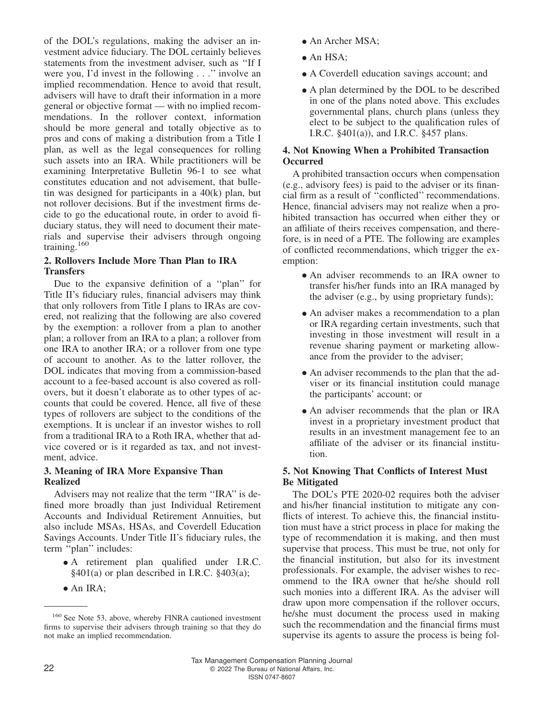of the DOL's regulations, making the adviser an investment advice fiduciary. The DOL certainly believes statements from the investment adviser, such as ''If I were you, I'd invest in the following . . .'' involve an implied recommendation. Hence to avoid that result, advisers will have to draft their information in a more general or objective format — with no implied recommendations. In the rollover context, information should be more general and totally objective as to pros and cons of making a distribution from a Title I plan, as well as the legal consequences for rolling such assets into an IRA. While practitioners will be examining Interpretative Bulletin 96-1 to see what constitutes education and not advisement, that bulletin was designed for participants in a  $40(k)$  plan, but not rollover decisions. But if the investment firms decide to go the educational route, in order to avoid fiduciary status, they will need to document their materials and supervise their advisers through ongoing training.<sup>160</sup>

#### **2. Rollovers Include More Than Plan to IRA Transfers**

Due to the expansive definition of a ''plan'' for Title II's fiduciary rules, financial advisers may think that only rollovers from Title I plans to IRAs are covered, not realizing that the following are also covered by the exemption: a rollover from a plan to another plan; a rollover from an IRA to a plan; a rollover from one IRA to another IRA; or a rollover from one type of account to another. As to the latter rollover, the DOL indicates that moving from a commission-based account to a fee-based account is also covered as rollovers, but it doesn't elaborate as to other types of accounts that could be covered. Hence, all five of these types of rollovers are subject to the conditions of the exemptions. It is unclear if an investor wishes to roll from a traditional IRA to a Roth IRA, whether that advice covered or is it regarded as tax, and not investment, advice.

#### **3. Meaning of IRA More Expansive Than Realized**

Advisers may not realize that the term ''IRA'' is defined more broadly than just Individual Retirement Accounts and Individual Retirement Annuities, but also include MSAs, HSAs, and Coverdell Education Savings Accounts. Under Title II's fiduciary rules, the term "plan" includes:

- A retirement plan qualified under I.R.C. §401(a) or plan described in I.R.C. §403(a);
- An IRA;
- An Archer MSA:
- An HSA:
- A Coverdell education savings account; and
- A plan determined by the DOL to be described in one of the plans noted above. This excludes governmental plans, church plans (unless they elect to be subject to the qualification rules of I.R.C. §401(a)), and I.R.C. §457 plans.

#### **4. Not Knowing When a Prohibited Transaction Occurred**

A prohibited transaction occurs when compensation (e.g., advisory fees) is paid to the adviser or its financial firm as a result of ''conflicted'' recommendations. Hence, financial advisers may not realize when a prohibited transaction has occurred when either they or an affiliate of theirs receives compensation, and therefore, is in need of a PTE. The following are examples of conflicted recommendations, which trigger the exemption:

- An adviser recommends to an IRA owner to transfer his/her funds into an IRA managed by the adviser (e.g., by using proprietary funds);
- An adviser makes a recommendation to a plan or IRA regarding certain investments, such that investing in those investment will result in a revenue sharing payment or marketing allowance from the provider to the adviser;
- An adviser recommends to the plan that the adviser or its financial institution could manage the participants' account; or
- An adviser recommends that the plan or IRA invest in a proprietary investment product that results in an investment management fee to an affiliate of the adviser or its financial institution.

#### **5. Not Knowing That Conflicts of Interest Must Be Mitigated**

The DOL's PTE 2020-02 requires both the adviser and his/her financial institution to mitigate any conflicts of interest. To achieve this, the financial institution must have a strict process in place for making the type of recommendation it is making, and then must supervise that process. This must be true, not only for the financial institution, but also for its investment professionals. For example, the adviser wishes to recommend to the IRA owner that he/she should roll such monies into a different IRA. As the adviser will draw upon more compensation if the rollover occurs, he/she must document the process used in making such the recommendation and the financial firms must supervise its agents to assure the process is being fol-

<sup>160</sup> See Note 53, above, whereby FINRA cautioned investment firms to supervise their advisers through training so that they do not make an implied recommendation.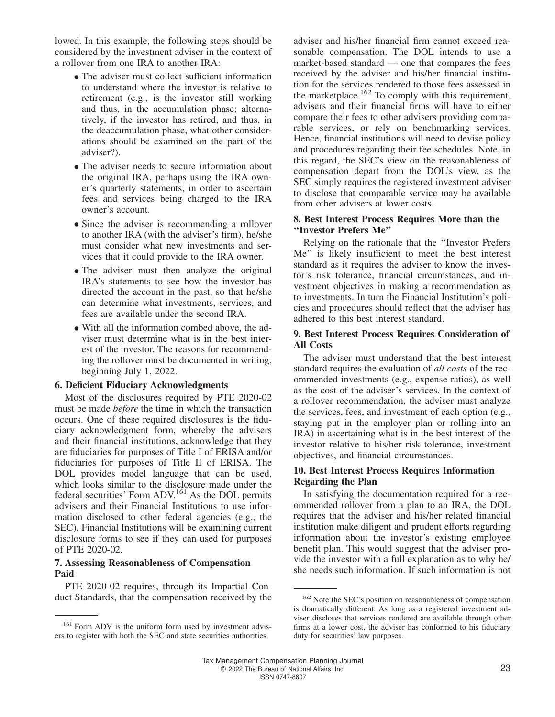lowed. In this example, the following steps should be considered by the investment adviser in the context of a rollover from one IRA to another IRA:

- The adviser must collect sufficient information to understand where the investor is relative to retirement (e.g., is the investor still working and thus, in the accumulation phase; alternatively, if the investor has retired, and thus, in the deaccumulation phase, what other considerations should be examined on the part of the adviser?).
- The adviser needs to secure information about the original IRA, perhaps using the IRA owner's quarterly statements, in order to ascertain fees and services being charged to the IRA owner's account.
- Since the adviser is recommending a rollover to another IRA (with the adviser's firm), he/she must consider what new investments and services that it could provide to the IRA owner.
- The adviser must then analyze the original IRA's statements to see how the investor has directed the account in the past, so that he/she can determine what investments, services, and fees are available under the second IRA.
- With all the information combed above, the adviser must determine what is in the best interest of the investor. The reasons for recommending the rollover must be documented in writing, beginning July 1, 2022.

#### **6. Deficient Fiduciary Acknowledgments**

Most of the disclosures required by PTE 2020-02 must be made *before* the time in which the transaction occurs. One of these required disclosures is the fiduciary acknowledgment form, whereby the advisers and their financial institutions, acknowledge that they are fiduciaries for purposes of Title I of ERISA and/or fiduciaries for purposes of Title II of ERISA. The DOL provides model language that can be used, which looks similar to the disclosure made under the federal securities' Form ADV.<sup>161</sup> As the DOL permits advisers and their Financial Institutions to use information disclosed to other federal agencies (e.g., the SEC), Financial Institutions will be examining current disclosure forms to see if they can used for purposes of PTE 2020-02.

#### **7. Assessing Reasonableness of Compensation Paid**

PTE 2020-02 requires, through its Impartial Conduct Standards, that the compensation received by the

adviser and his/her financial firm cannot exceed reasonable compensation. The DOL intends to use a market-based standard — one that compares the fees received by the adviser and his/her financial institution for the services rendered to those fees assessed in the marketplace.<sup>162</sup> To comply with this requirement, advisers and their financial firms will have to either compare their fees to other advisers providing comparable services, or rely on benchmarking services. Hence, financial institutions will need to devise policy and procedures regarding their fee schedules. Note, in this regard, the SEC's view on the reasonableness of compensation depart from the DOL's view, as the SEC simply requires the registered investment adviser to disclose that comparable service may be available from other advisers at lower costs.

#### **8. Best Interest Process Requires More than the ''Investor Prefers Me''**

Relying on the rationale that the ''Investor Prefers Me'' is likely insufficient to meet the best interest standard as it requires the adviser to know the investor's risk tolerance, financial circumstances, and investment objectives in making a recommendation as to investments. In turn the Financial Institution's policies and procedures should reflect that the adviser has adhered to this best interest standard.

#### **9. Best Interest Process Requires Consideration of All Costs**

The adviser must understand that the best interest standard requires the evaluation of *all costs* of the recommended investments (e.g., expense ratios), as well as the cost of the adviser's services. In the context of a rollover recommendation, the adviser must analyze the services, fees, and investment of each option (e.g., staying put in the employer plan or rolling into an IRA) in ascertaining what is in the best interest of the investor relative to his/her risk tolerance, investment objectives, and financial circumstances.

#### **10. Best Interest Process Requires Information Regarding the Plan**

In satisfying the documentation required for a recommended rollover from a plan to an IRA, the DOL requires that the adviser and his/her related financial institution make diligent and prudent efforts regarding information about the investor's existing employee benefit plan. This would suggest that the adviser provide the investor with a full explanation as to why he/ she needs such information. If such information is not

<sup>&</sup>lt;sup>161</sup> Form ADV is the uniform form used by investment advisers to register with both the SEC and state securities authorities.

<sup>162</sup> Note the SEC's position on reasonableness of compensation is dramatically different. As long as a registered investment adviser discloses that services rendered are available through other firms at a lower cost, the adviser has conformed to his fiduciary duty for securities' law purposes.